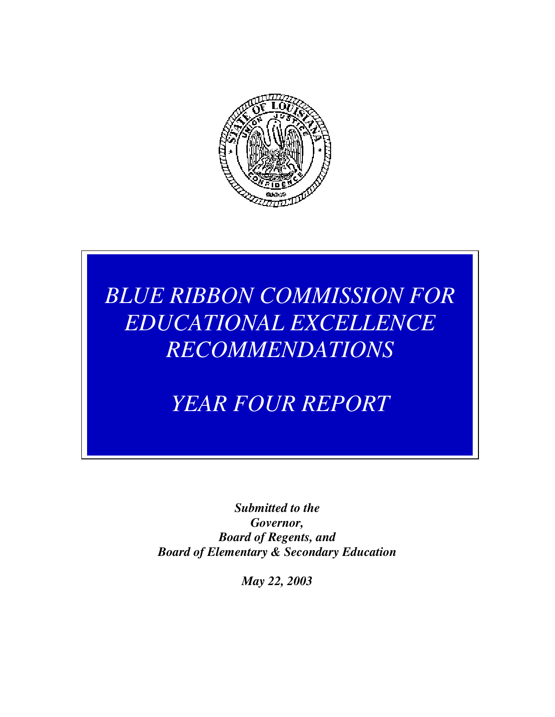

# *BLUE RIBBON COMMISSION FOR EDUCATIONAL EXCELLENCE RECOMMENDATIONS*

*YEAR FOUR REPORT* 

*Submitted to the Governor, Board of Regents, and Board of Elementary & Secondary Education* 

*May 22, 2003*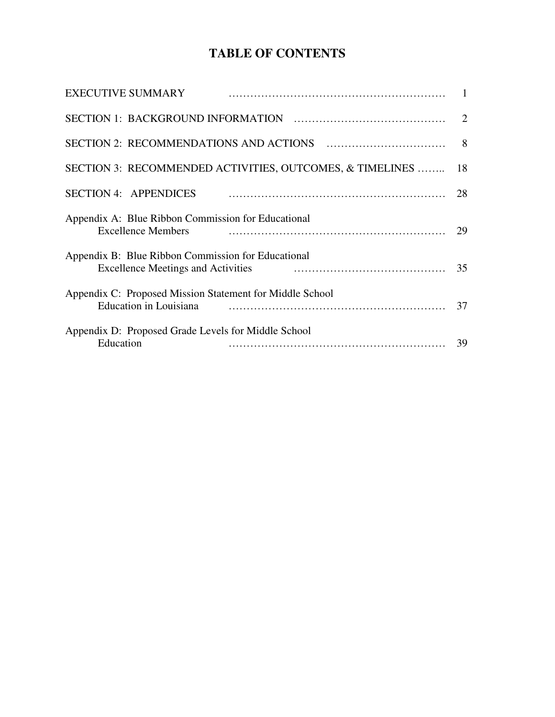## **TABLE OF CONTENTS**

| <b>EXECUTIVE SUMMARY</b>                                                                        | $\mathbf{1}$   |
|-------------------------------------------------------------------------------------------------|----------------|
|                                                                                                 |                |
|                                                                                                 | 8 <sup>8</sup> |
| SECTION 3: RECOMMENDED ACTIVITIES, OUTCOMES, & TIMELINES                                        | 18             |
| <b>SECTION 4: APPENDICES</b>                                                                    | 28             |
| Appendix A: Blue Ribbon Commission for Educational<br><b>Excellence Members</b>                 | 29             |
| Appendix B: Blue Ribbon Commission for Educational<br><b>Excellence Meetings and Activities</b> | 35             |
| Appendix C: Proposed Mission Statement for Middle School<br>Education in Louisiana              | 37             |
| Appendix D: Proposed Grade Levels for Middle School<br>Education                                | 39             |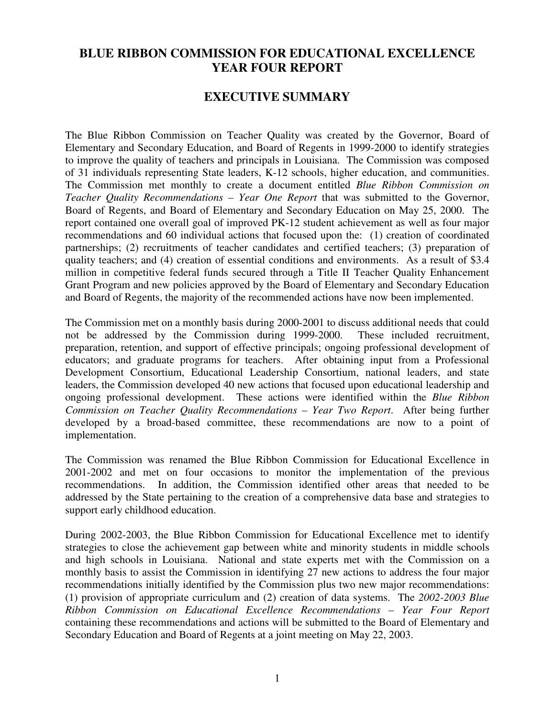## **BLUE RIBBON COMMISSION FOR EDUCATIONAL EXCELLENCE YEAR FOUR REPORT**

### **EXECUTIVE SUMMARY**

The Blue Ribbon Commission on Teacher Quality was created by the Governor, Board of Elementary and Secondary Education, and Board of Regents in 1999-2000 to identify strategies to improve the quality of teachers and principals in Louisiana. The Commission was composed of 31 individuals representing State leaders, K-12 schools, higher education, and communities. The Commission met monthly to create a document entitled *Blue Ribbon Commission on Teacher Quality Recommendations – Year One Report* that was submitted to the Governor, Board of Regents, and Board of Elementary and Secondary Education on May 25, 2000. The report contained one overall goal of improved PK-12 student achievement as well as four major recommendations and 60 individual actions that focused upon the: (1) creation of coordinated partnerships; (2) recruitments of teacher candidates and certified teachers; (3) preparation of quality teachers; and (4) creation of essential conditions and environments. As a result of \$3.4 million in competitive federal funds secured through a Title II Teacher Quality Enhancement Grant Program and new policies approved by the Board of Elementary and Secondary Education and Board of Regents, the majority of the recommended actions have now been implemented.

The Commission met on a monthly basis during 2000-2001 to discuss additional needs that could not be addressed by the Commission during 1999-2000. These included recruitment, preparation, retention, and support of effective principals; ongoing professional development of educators; and graduate programs for teachers. After obtaining input from a Professional Development Consortium, Educational Leadership Consortium, national leaders, and state leaders, the Commission developed 40 new actions that focused upon educational leadership and ongoing professional development. These actions were identified within the *Blue Ribbon Commission on Teacher Quality Recommendations – Year Two Report*. After being further developed by a broad-based committee, these recommendations are now to a point of implementation.

The Commission was renamed the Blue Ribbon Commission for Educational Excellence in 2001-2002 and met on four occasions to monitor the implementation of the previous recommendations. In addition, the Commission identified other areas that needed to be addressed by the State pertaining to the creation of a comprehensive data base and strategies to support early childhood education.

During 2002-2003, the Blue Ribbon Commission for Educational Excellence met to identify strategies to close the achievement gap between white and minority students in middle schools and high schools in Louisiana. National and state experts met with the Commission on a monthly basis to assist the Commission in identifying 27 new actions to address the four major recommendations initially identified by the Commission plus two new major recommendations: (1) provision of appropriate curriculum and (2) creation of data systems. The *2002-2003 Blue Ribbon Commission on Educational Excellence Recommendations – Year Four Report* containing these recommendations and actions will be submitted to the Board of Elementary and Secondary Education and Board of Regents at a joint meeting on May 22, 2003.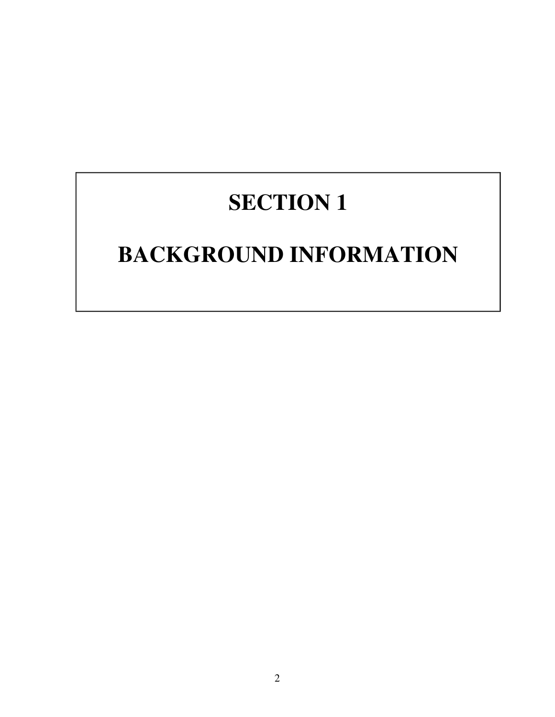# **SECTION 1**

# **BACKGROUND INFORMATION**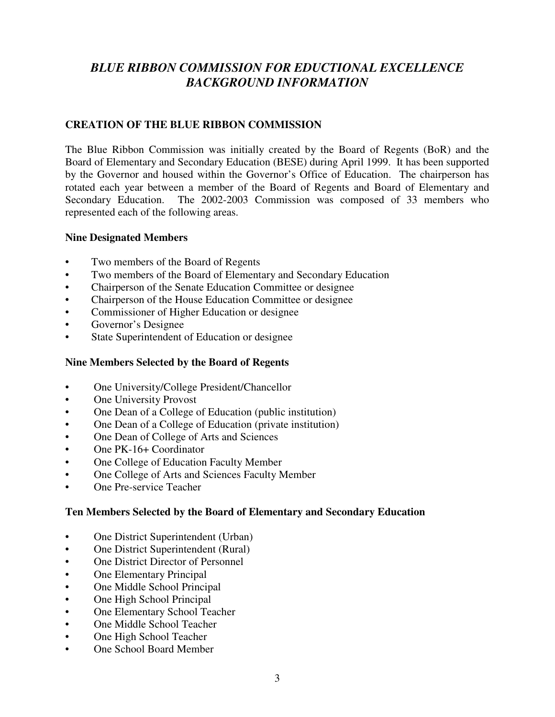## *BLUE RIBBON COMMISSION FOR EDUCTIONAL EXCELLENCE BACKGROUND INFORMATION*

### **CREATION OF THE BLUE RIBBON COMMISSION**

The Blue Ribbon Commission was initially created by the Board of Regents (BoR) and the Board of Elementary and Secondary Education (BESE) during April 1999. It has been supported by the Governor and housed within the Governor's Office of Education. The chairperson has rotated each year between a member of the Board of Regents and Board of Elementary and Secondary Education. The 2002-2003 Commission was composed of 33 members who represented each of the following areas.

#### **Nine Designated Members**

- Two members of the Board of Regents
- Two members of the Board of Elementary and Secondary Education
- Chairperson of the Senate Education Committee or designee
- Chairperson of the House Education Committee or designee
- Commissioner of Higher Education or designee
- Governor's Designee
- State Superintendent of Education or designee

### **Nine Members Selected by the Board of Regents**

- One University/College President/Chancellor
- One University Provost
- One Dean of a College of Education (public institution)
- One Dean of a College of Education (private institution)
- One Dean of College of Arts and Sciences
- One PK-16+ Coordinator
- One College of Education Faculty Member
- One College of Arts and Sciences Faculty Member
- One Pre-service Teacher

### **Ten Members Selected by the Board of Elementary and Secondary Education**

- One District Superintendent (Urban)
- One District Superintendent (Rural)
- One District Director of Personnel
- **One Elementary Principal**
- One Middle School Principal
- One High School Principal
- One Elementary School Teacher
- One Middle School Teacher
- One High School Teacher
- One School Board Member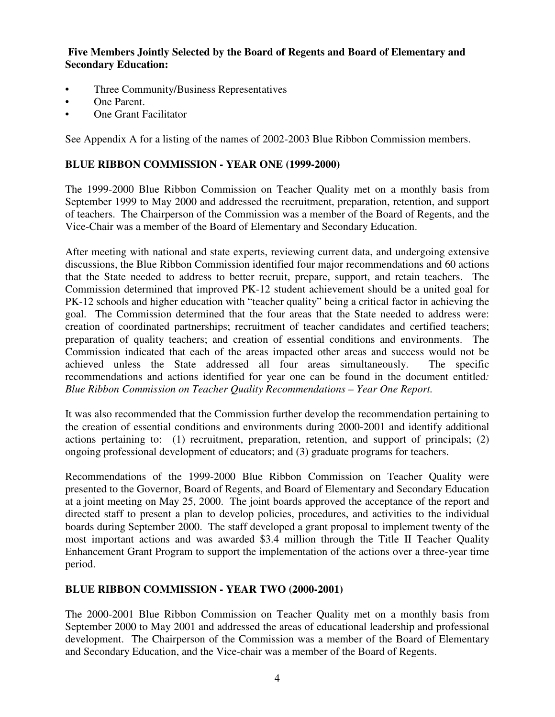#### **Five Members Jointly Selected by the Board of Regents and Board of Elementary and Secondary Education:**

- Three Community/Business Representatives
- One Parent.
- **One Grant Facilitator**

See Appendix A for a listing of the names of 2002-2003 Blue Ribbon Commission members.

#### **BLUE RIBBON COMMISSION - YEAR ONE (1999-2000)**

The 1999-2000 Blue Ribbon Commission on Teacher Quality met on a monthly basis from September 1999 to May 2000 and addressed the recruitment, preparation, retention, and support of teachers. The Chairperson of the Commission was a member of the Board of Regents, and the Vice-Chair was a member of the Board of Elementary and Secondary Education.

After meeting with national and state experts, reviewing current data, and undergoing extensive discussions, the Blue Ribbon Commission identified four major recommendations and 60 actions that the State needed to address to better recruit, prepare, support, and retain teachers. The Commission determined that improved PK-12 student achievement should be a united goal for PK-12 schools and higher education with "teacher quality" being a critical factor in achieving the goal. The Commission determined that the four areas that the State needed to address were: creation of coordinated partnerships; recruitment of teacher candidates and certified teachers; preparation of quality teachers; and creation of essential conditions and environments. The Commission indicated that each of the areas impacted other areas and success would not be achieved unless the State addressed all four areas simultaneously. The specific recommendations and actions identified for year one can be found in the document entitled*: Blue Ribbon Commission on Teacher Quality Recommendations – Year One Report.* 

It was also recommended that the Commission further develop the recommendation pertaining to the creation of essential conditions and environments during 2000-2001 and identify additional actions pertaining to: (1) recruitment, preparation, retention, and support of principals; (2) ongoing professional development of educators; and (3) graduate programs for teachers.

Recommendations of the 1999-2000 Blue Ribbon Commission on Teacher Quality were presented to the Governor, Board of Regents, and Board of Elementary and Secondary Education at a joint meeting on May 25, 2000. The joint boards approved the acceptance of the report and directed staff to present a plan to develop policies, procedures, and activities to the individual boards during September 2000. The staff developed a grant proposal to implement twenty of the most important actions and was awarded \$3.4 million through the Title II Teacher Quality Enhancement Grant Program to support the implementation of the actions over a three-year time period.

#### **BLUE RIBBON COMMISSION - YEAR TWO (2000-2001)**

The 2000-2001 Blue Ribbon Commission on Teacher Quality met on a monthly basis from September 2000 to May 2001 and addressed the areas of educational leadership and professional development. The Chairperson of the Commission was a member of the Board of Elementary and Secondary Education, and the Vice-chair was a member of the Board of Regents.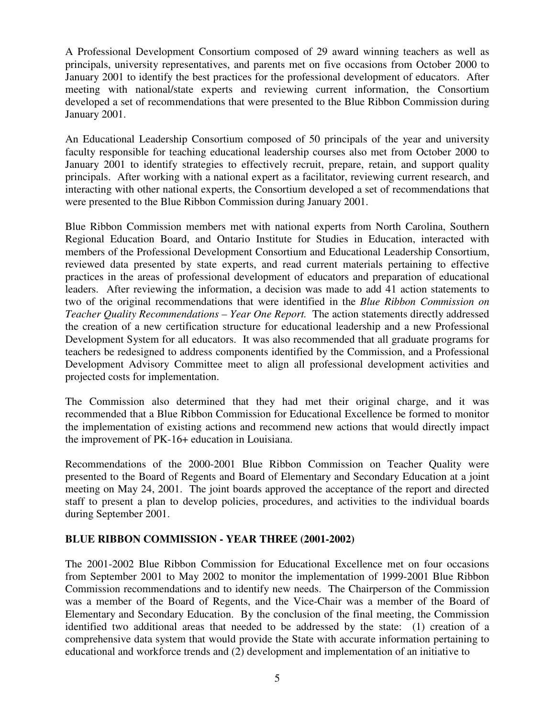A Professional Development Consortium composed of 29 award winning teachers as well as principals, university representatives, and parents met on five occasions from October 2000 to January 2001 to identify the best practices for the professional development of educators. After meeting with national/state experts and reviewing current information, the Consortium developed a set of recommendations that were presented to the Blue Ribbon Commission during January 2001.

An Educational Leadership Consortium composed of 50 principals of the year and university faculty responsible for teaching educational leadership courses also met from October 2000 to January 2001 to identify strategies to effectively recruit, prepare, retain, and support quality principals. After working with a national expert as a facilitator, reviewing current research, and interacting with other national experts, the Consortium developed a set of recommendations that were presented to the Blue Ribbon Commission during January 2001.

Blue Ribbon Commission members met with national experts from North Carolina, Southern Regional Education Board, and Ontario Institute for Studies in Education, interacted with members of the Professional Development Consortium and Educational Leadership Consortium, reviewed data presented by state experts, and read current materials pertaining to effective practices in the areas of professional development of educators and preparation of educational leaders. After reviewing the information, a decision was made to add 41 action statements to two of the original recommendations that were identified in the *Blue Ribbon Commission on Teacher Quality Recommendations – Year One Report.* The action statements directly addressed the creation of a new certification structure for educational leadership and a new Professional Development System for all educators. It was also recommended that all graduate programs for teachers be redesigned to address components identified by the Commission, and a Professional Development Advisory Committee meet to align all professional development activities and projected costs for implementation.

The Commission also determined that they had met their original charge, and it was recommended that a Blue Ribbon Commission for Educational Excellence be formed to monitor the implementation of existing actions and recommend new actions that would directly impact the improvement of PK-16+ education in Louisiana.

Recommendations of the 2000-2001 Blue Ribbon Commission on Teacher Quality were presented to the Board of Regents and Board of Elementary and Secondary Education at a joint meeting on May 24, 2001. The joint boards approved the acceptance of the report and directed staff to present a plan to develop policies, procedures, and activities to the individual boards during September 2001.

### **BLUE RIBBON COMMISSION - YEAR THREE (2001-2002)**

The 2001-2002 Blue Ribbon Commission for Educational Excellence met on four occasions from September 2001 to May 2002 to monitor the implementation of 1999-2001 Blue Ribbon Commission recommendations and to identify new needs. The Chairperson of the Commission was a member of the Board of Regents, and the Vice-Chair was a member of the Board of Elementary and Secondary Education. By the conclusion of the final meeting, the Commission identified two additional areas that needed to be addressed by the state: (1) creation of a comprehensive data system that would provide the State with accurate information pertaining to educational and workforce trends and (2) development and implementation of an initiative to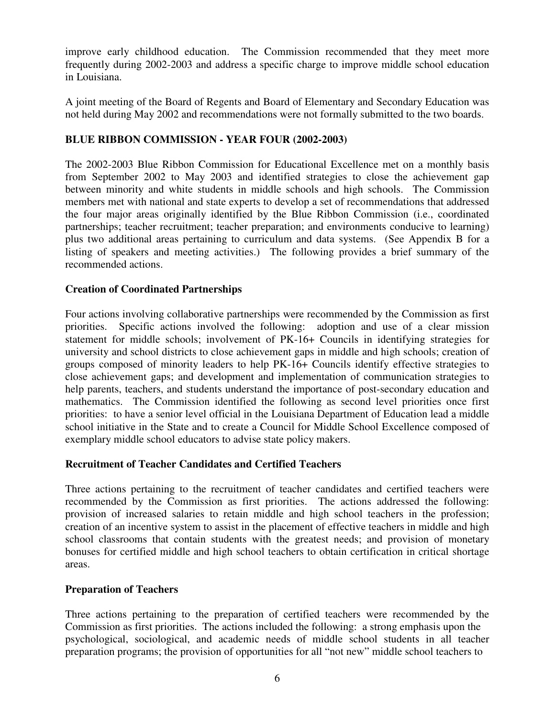improve early childhood education. The Commission recommended that they meet more frequently during 2002-2003 and address a specific charge to improve middle school education in Louisiana.

A joint meeting of the Board of Regents and Board of Elementary and Secondary Education was not held during May 2002 and recommendations were not formally submitted to the two boards.

### **BLUE RIBBON COMMISSION - YEAR FOUR (2002-2003)**

The 2002-2003 Blue Ribbon Commission for Educational Excellence met on a monthly basis from September 2002 to May 2003 and identified strategies to close the achievement gap between minority and white students in middle schools and high schools. The Commission members met with national and state experts to develop a set of recommendations that addressed the four major areas originally identified by the Blue Ribbon Commission (i.e., coordinated partnerships; teacher recruitment; teacher preparation; and environments conducive to learning) plus two additional areas pertaining to curriculum and data systems. (See Appendix B for a listing of speakers and meeting activities.) The following provides a brief summary of the recommended actions.

### **Creation of Coordinated Partnerships**

Four actions involving collaborative partnerships were recommended by the Commission as first priorities. Specific actions involved the following: adoption and use of a clear mission statement for middle schools; involvement of PK-16+ Councils in identifying strategies for university and school districts to close achievement gaps in middle and high schools; creation of groups composed of minority leaders to help PK-16+ Councils identify effective strategies to close achievement gaps; and development and implementation of communication strategies to help parents, teachers, and students understand the importance of post-secondary education and mathematics. The Commission identified the following as second level priorities once first priorities: to have a senior level official in the Louisiana Department of Education lead a middle school initiative in the State and to create a Council for Middle School Excellence composed of exemplary middle school educators to advise state policy makers.

### **Recruitment of Teacher Candidates and Certified Teachers**

Three actions pertaining to the recruitment of teacher candidates and certified teachers were recommended by the Commission as first priorities. The actions addressed the following: provision of increased salaries to retain middle and high school teachers in the profession; creation of an incentive system to assist in the placement of effective teachers in middle and high school classrooms that contain students with the greatest needs; and provision of monetary bonuses for certified middle and high school teachers to obtain certification in critical shortage areas.

### **Preparation of Teachers**

Three actions pertaining to the preparation of certified teachers were recommended by the Commission as first priorities. The actions included the following: a strong emphasis upon the psychological, sociological, and academic needs of middle school students in all teacher preparation programs; the provision of opportunities for all "not new" middle school teachers to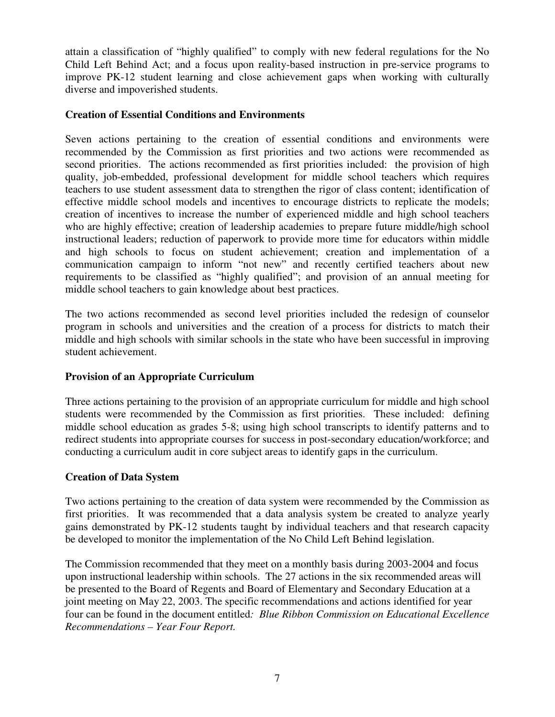attain a classification of "highly qualified" to comply with new federal regulations for the No Child Left Behind Act; and a focus upon reality-based instruction in pre-service programs to improve PK-12 student learning and close achievement gaps when working with culturally diverse and impoverished students.

#### **Creation of Essential Conditions and Environments**

Seven actions pertaining to the creation of essential conditions and environments were recommended by the Commission as first priorities and two actions were recommended as second priorities. The actions recommended as first priorities included: the provision of high quality, job-embedded, professional development for middle school teachers which requires teachers to use student assessment data to strengthen the rigor of class content; identification of effective middle school models and incentives to encourage districts to replicate the models; creation of incentives to increase the number of experienced middle and high school teachers who are highly effective; creation of leadership academies to prepare future middle/high school instructional leaders; reduction of paperwork to provide more time for educators within middle and high schools to focus on student achievement; creation and implementation of a communication campaign to inform "not new" and recently certified teachers about new requirements to be classified as "highly qualified"; and provision of an annual meeting for middle school teachers to gain knowledge about best practices.

The two actions recommended as second level priorities included the redesign of counselor program in schools and universities and the creation of a process for districts to match their middle and high schools with similar schools in the state who have been successful in improving student achievement.

### **Provision of an Appropriate Curriculum**

Three actions pertaining to the provision of an appropriate curriculum for middle and high school students were recommended by the Commission as first priorities. These included: defining middle school education as grades 5-8; using high school transcripts to identify patterns and to redirect students into appropriate courses for success in post-secondary education/workforce; and conducting a curriculum audit in core subject areas to identify gaps in the curriculum.

#### **Creation of Data System**

Two actions pertaining to the creation of data system were recommended by the Commission as first priorities. It was recommended that a data analysis system be created to analyze yearly gains demonstrated by PK-12 students taught by individual teachers and that research capacity be developed to monitor the implementation of the No Child Left Behind legislation.

The Commission recommended that they meet on a monthly basis during 2003-2004 and focus upon instructional leadership within schools. The 27 actions in the six recommended areas will be presented to the Board of Regents and Board of Elementary and Secondary Education at a joint meeting on May 22, 2003. The specific recommendations and actions identified for year four can be found in the document entitled*: Blue Ribbon Commission on Educational Excellence Recommendations – Year Four Report.*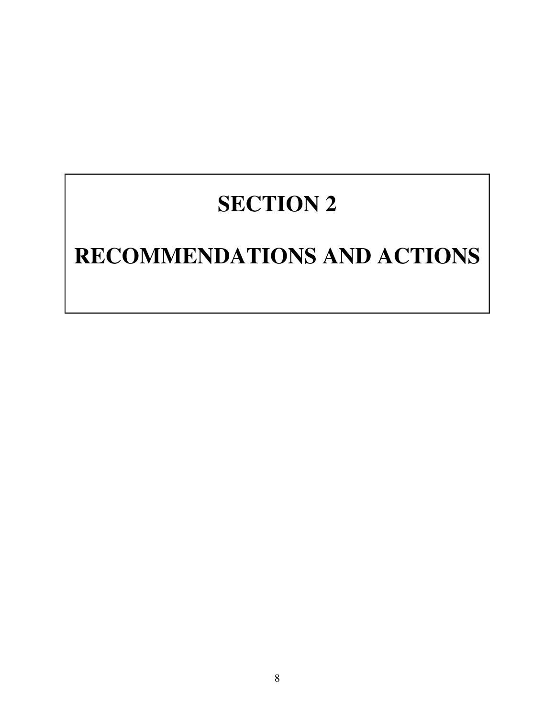# **SECTION 2**

# **RECOMMENDATIONS AND ACTIONS**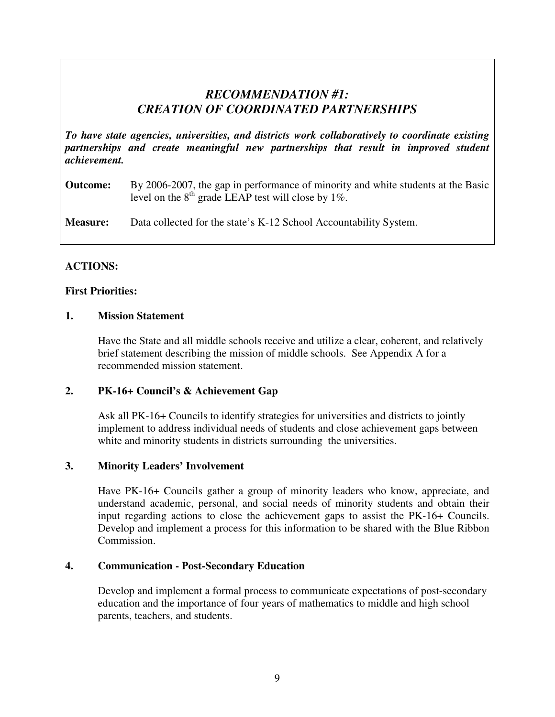## *RECOMMENDATION #1: CREATION OF COORDINATED PARTNERSHIPS*

*To have state agencies, universities, and districts work collaboratively to coordinate existing partnerships and create meaningful new partnerships that result in improved student achievement.* 

#### **Outcome:** By 2006-2007, the gap in performance of minority and white students at the Basic level on the  $8<sup>th</sup>$  grade LEAP test will close by 1%.

**Measure:** Data collected for the state's K-12 School Accountability System.

### **ACTIONS:**

### **First Priorities:**

#### **1. Mission Statement**

Have the State and all middle schools receive and utilize a clear, coherent, and relatively brief statement describing the mission of middle schools. See Appendix A for a recommended mission statement.

### **2. PK-16+ Council's & Achievement Gap**

 Ask all PK-16+ Councils to identify strategies for universities and districts to jointly implement to address individual needs of students and close achievement gaps between white and minority students in districts surrounding the universities.

### **3. Minority Leaders' Involvement**

Have PK-16+ Councils gather a group of minority leaders who know, appreciate, and understand academic, personal, and social needs of minority students and obtain their input regarding actions to close the achievement gaps to assist the PK-16+ Councils. Develop and implement a process for this information to be shared with the Blue Ribbon Commission.

#### **4. Communication - Post-Secondary Education**

Develop and implement a formal process to communicate expectations of post-secondary education and the importance of four years of mathematics to middle and high school parents, teachers, and students.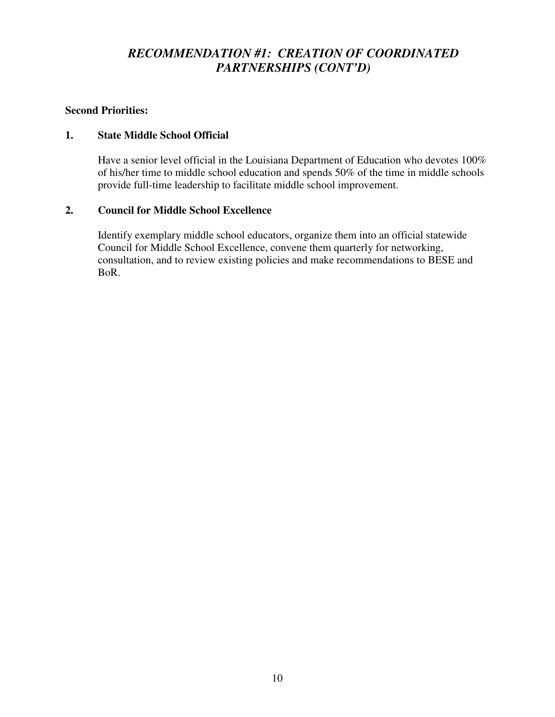## *RECOMMENDATION #1: CREATION OF COORDINATED PARTNERSHIPS (CONT'D)*

### **Second Priorities:**

#### **1. State Middle School Official**

Have a senior level official in the Louisiana Department of Education who devotes 100% of his/her time to middle school education and spends 50% of the time in middle schools provide full-time leadership to facilitate middle school improvement.

#### **2. Council for Middle School Excellence**

Identify exemplary middle school educators, organize them into an official statewide Council for Middle School Excellence, convene them quarterly for networking, consultation, and to review existing policies and make recommendations to BESE and BoR.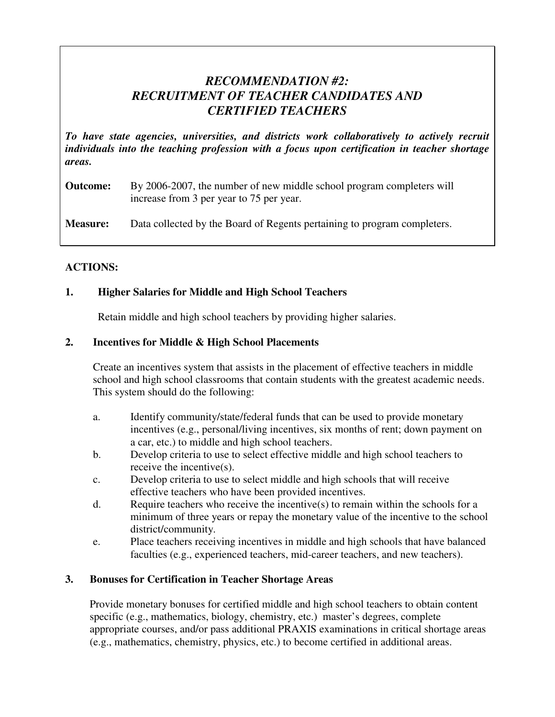## *RECOMMENDATION #2: RECRUITMENT OF TEACHER CANDIDATES AND CERTIFIED TEACHERS*

*To have state agencies, universities, and districts work collaboratively to actively recruit individuals into the teaching profession with a focus upon certification in teacher shortage areas.* 

### **Outcome:** By 2006-2007, the number of new middle school program completers will increase from 3 per year to 75 per year.

**Measure:** Data collected by the Board of Regents pertaining to program completers.

### **ACTIONS:**

### **1. Higher Salaries for Middle and High School Teachers**

Retain middle and high school teachers by providing higher salaries.

### **2. Incentives for Middle & High School Placements**

 Create an incentives system that assists in the placement of effective teachers in middle school and high school classrooms that contain students with the greatest academic needs. This system should do the following:

- a. Identify community/state/federal funds that can be used to provide monetary incentives (e.g., personal/living incentives, six months of rent; down payment on a car, etc.) to middle and high school teachers.
- b. Develop criteria to use to select effective middle and high school teachers to receive the incentive(s).
- c. Develop criteria to use to select middle and high schools that will receive effective teachers who have been provided incentives.
- d. Require teachers who receive the incentive(s) to remain within the schools for a minimum of three years or repay the monetary value of the incentive to the school district/community.
- e. Place teachers receiving incentives in middle and high schools that have balanced faculties (e.g., experienced teachers, mid-career teachers, and new teachers).

### **3. Bonuses for Certification in Teacher Shortage Areas**

Provide monetary bonuses for certified middle and high school teachers to obtain content specific (e.g., mathematics, biology, chemistry, etc.) master's degrees, complete appropriate courses, and/or pass additional PRAXIS examinations in critical shortage areas (e.g., mathematics, chemistry, physics, etc.) to become certified in additional areas.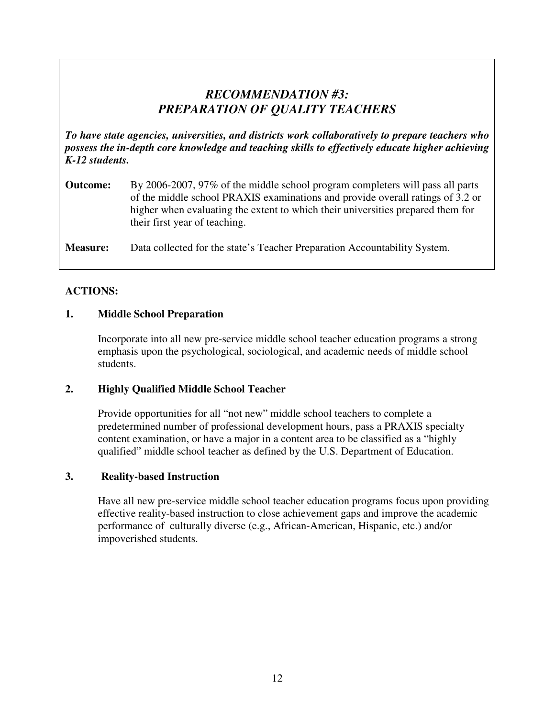## *RECOMMENDATION #3: PREPARATION OF QUALITY TEACHERS*

*To have state agencies, universities, and districts work collaboratively to prepare teachers who possess the in-depth core knowledge and teaching skills to effectively educate higher achieving K-12 students.* 

**Outcome:** By 2006-2007, 97% of the middle school program completers will pass all parts of the middle school PRAXIS examinations and provide overall ratings of 3.2 or higher when evaluating the extent to which their universities prepared them for their first year of teaching.

**Measure:** Data collected for the state's Teacher Preparation Accountability System.

#### **ACTIONS:**

#### **1. Middle School Preparation**

 Incorporate into all new pre-service middle school teacher education programs a strong emphasis upon the psychological, sociological, and academic needs of middle school students.

#### **2. Highly Qualified Middle School Teacher**

 Provide opportunities for all "not new" middle school teachers to complete a predetermined number of professional development hours, pass a PRAXIS specialty content examination, or have a major in a content area to be classified as a "highly qualified" middle school teacher as defined by the U.S. Department of Education.

#### **3. Reality-based Instruction**

 Have all new pre-service middle school teacher education programs focus upon providing effective reality-based instruction to close achievement gaps and improve the academic performance of culturally diverse (e.g., African-American, Hispanic, etc.) and/or impoverished students.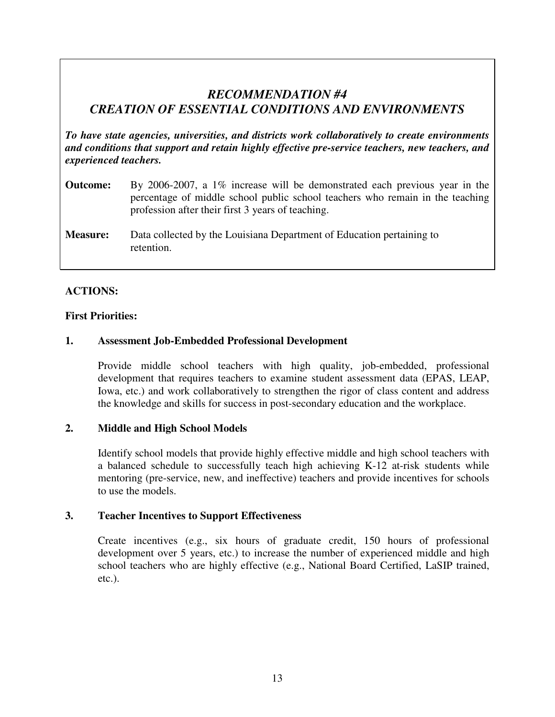## *RECOMMENDATION #4 CREATION OF ESSENTIAL CONDITIONS AND ENVIRONMENTS*

*To have state agencies, universities, and districts work collaboratively to create environments and conditions that support and retain highly effective pre-service teachers, new teachers, and experienced teachers.* 

- **Outcome:** By 2006-2007, a 1% increase will be demonstrated each previous year in the percentage of middle school public school teachers who remain in the teaching profession after their first 3 years of teaching.
- **Measure:** Data collected by the Louisiana Department of Education pertaining to retention.

### **ACTIONS:**

#### **First Priorities:**

#### **1. Assessment Job-Embedded Professional Development**

Provide middle school teachers with high quality, job-embedded, professional development that requires teachers to examine student assessment data (EPAS, LEAP, Iowa, etc.) and work collaboratively to strengthen the rigor of class content and address the knowledge and skills for success in post-secondary education and the workplace.

#### **2. Middle and High School Models**

Identify school models that provide highly effective middle and high school teachers with a balanced schedule to successfully teach high achieving K-12 at-risk students while mentoring (pre-service, new, and ineffective) teachers and provide incentives for schools to use the models.

#### **3. Teacher Incentives to Support Effectiveness**

Create incentives (e.g., six hours of graduate credit, 150 hours of professional development over 5 years, etc.) to increase the number of experienced middle and high school teachers who are highly effective (e.g., National Board Certified, LaSIP trained, etc.).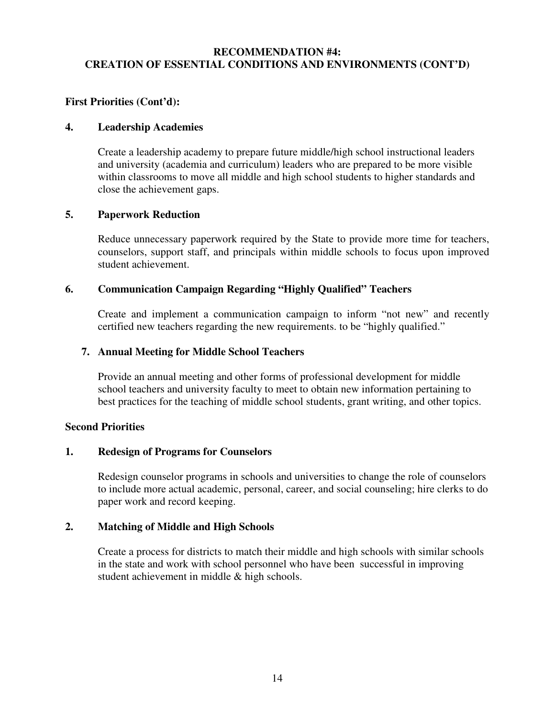#### **RECOMMENDATION #4: CREATION OF ESSENTIAL CONDITIONS AND ENVIRONMENTS (CONT'D)**

#### **First Priorities (Cont'd):**

#### **4. Leadership Academies**

Create a leadership academy to prepare future middle/high school instructional leaders and university (academia and curriculum) leaders who are prepared to be more visible within classrooms to move all middle and high school students to higher standards and close the achievement gaps.

#### **5. Paperwork Reduction**

Reduce unnecessary paperwork required by the State to provide more time for teachers, counselors, support staff, and principals within middle schools to focus upon improved student achievement.

#### **6. Communication Campaign Regarding "Highly Qualified" Teachers**

Create and implement a communication campaign to inform "not new" and recently certified new teachers regarding the new requirements. to be "highly qualified."

#### **7. Annual Meeting for Middle School Teachers**

Provide an annual meeting and other forms of professional development for middle school teachers and university faculty to meet to obtain new information pertaining to best practices for the teaching of middle school students, grant writing, and other topics.

#### **Second Priorities**

#### **1. Redesign of Programs for Counselors**

Redesign counselor programs in schools and universities to change the role of counselors to include more actual academic, personal, career, and social counseling; hire clerks to do paper work and record keeping.

#### **2. Matching of Middle and High Schools**

Create a process for districts to match their middle and high schools with similar schools in the state and work with school personnel who have been successful in improving student achievement in middle & high schools.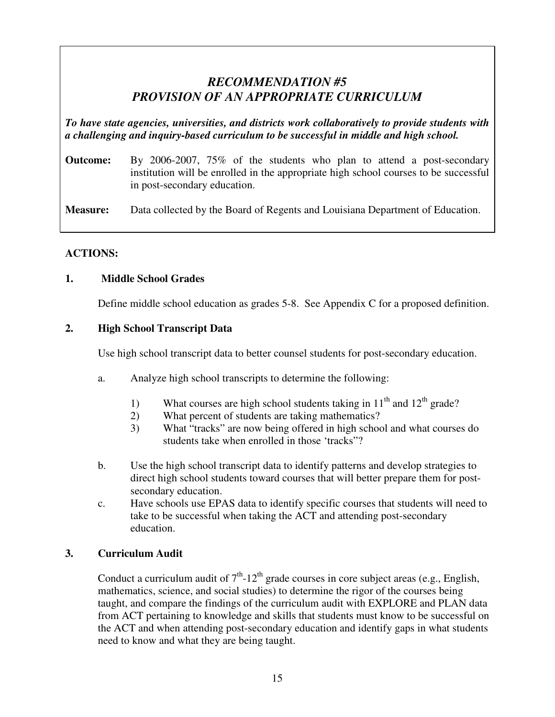## *RECOMMENDATION #5 PROVISION OF AN APPROPRIATE CURRICULUM*

*To have state agencies, universities, and districts work collaboratively to provide students with a challenging and inquiry-based curriculum to be successful in middle and high school.* 

**Outcome:** By 2006-2007, 75% of the students who plan to attend a post-secondary institution will be enrolled in the appropriate high school courses to be successful in post-secondary education.

**Measure:** Data collected by the Board of Regents and Louisiana Department of Education.

## **ACTIONS:**

### **1. Middle School Grades**

Define middle school education as grades 5-8. See Appendix C for a proposed definition.

### **2. High School Transcript Data**

Use high school transcript data to better counsel students for post-secondary education.

- a. Analyze high school transcripts to determine the following:
	- 1) What courses are high school students taking in  $11<sup>th</sup>$  and  $12<sup>th</sup>$  grade?
	- 2) What percent of students are taking mathematics?
	- 3) What "tracks" are now being offered in high school and what courses do students take when enrolled in those 'tracks"?
- b. Use the high school transcript data to identify patterns and develop strategies to direct high school students toward courses that will better prepare them for postsecondary education.
- c. Have schools use EPAS data to identify specific courses that students will need to take to be successful when taking the ACT and attending post-secondary education.

## **3. Curriculum Audit**

Conduct a curriculum audit of  $7<sup>th</sup>$ -12<sup>th</sup> grade courses in core subject areas (e.g., English, mathematics, science, and social studies) to determine the rigor of the courses being taught, and compare the findings of the curriculum audit with EXPLORE and PLAN data from ACT pertaining to knowledge and skills that students must know to be successful on the ACT and when attending post-secondary education and identify gaps in what students need to know and what they are being taught.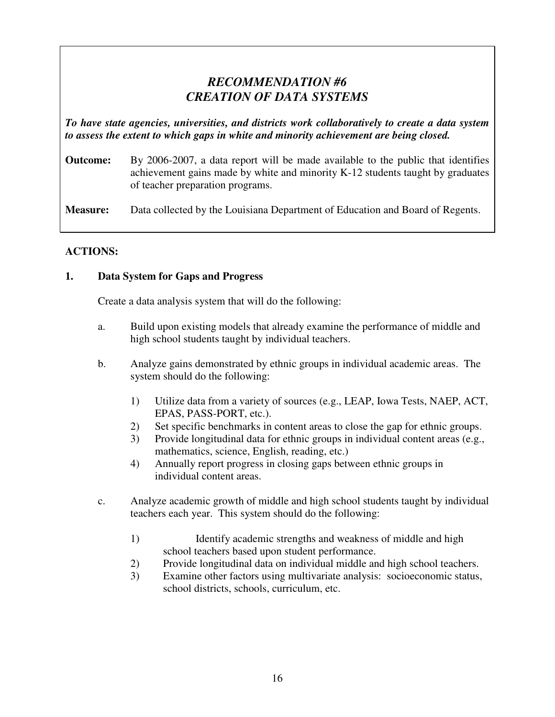## *RECOMMENDATION #6 CREATION OF DATA SYSTEMS*

*To have state agencies, universities, and districts work collaboratively to create a data system to assess the extent to which gaps in white and minority achievement are being closed.* 

**Outcome:** By 2006-2007, a data report will be made available to the public that identifies achievement gains made by white and minority K-12 students taught by graduates of teacher preparation programs.

**Measure:** Data collected by the Louisiana Department of Education and Board of Regents.

### **ACTIONS:**

### **1. Data System for Gaps and Progress**

Create a data analysis system that will do the following:

- a. Build upon existing models that already examine the performance of middle and high school students taught by individual teachers.
- b. Analyze gains demonstrated by ethnic groups in individual academic areas. The system should do the following:
	- 1) Utilize data from a variety of sources (e.g., LEAP, Iowa Tests, NAEP, ACT, EPAS, PASS-PORT, etc.).
	- 2) Set specific benchmarks in content areas to close the gap for ethnic groups.
	- 3) Provide longitudinal data for ethnic groups in individual content areas (e.g., mathematics, science, English, reading, etc.)
	- 4) Annually report progress in closing gaps between ethnic groups in individual content areas.
- c. Analyze academic growth of middle and high school students taught by individual teachers each year. This system should do the following:
	- 1) Identify academic strengths and weakness of middle and high school teachers based upon student performance.
	- 2) Provide longitudinal data on individual middle and high school teachers.
	- 3) Examine other factors using multivariate analysis: socioeconomic status, school districts, schools, curriculum, etc.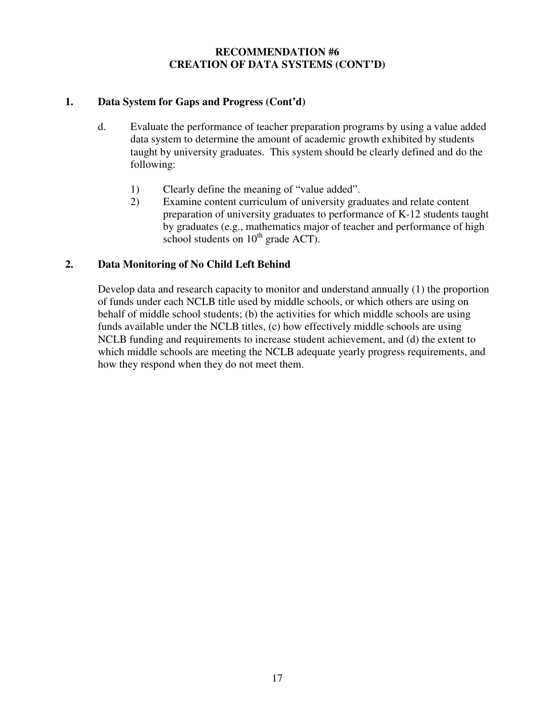#### **RECOMMENDATION #6 CREATION OF DATA SYSTEMS (CONT'D)**

### **1. Data System for Gaps and Progress (Cont'd)**

- d. Evaluate the performance of teacher preparation programs by using a value added data system to determine the amount of academic growth exhibited by students taught by university graduates. This system should be clearly defined and do the following:
	- 1) Clearly define the meaning of "value added".
	- 2) Examine content curriculum of university graduates and relate content preparation of university graduates to performance of K-12 students taught by graduates (e.g., mathematics major of teacher and performance of high school students on  $10^{th}$  grade ACT).

#### **2. Data Monitoring of No Child Left Behind**

 Develop data and research capacity to monitor and understand annually (1) the proportion of funds under each NCLB title used by middle schools, or which others are using on behalf of middle school students; (b) the activities for which middle schools are using funds available under the NCLB titles, (c) how effectively middle schools are using NCLB funding and requirements to increase student achievement, and (d) the extent to which middle schools are meeting the NCLB adequate yearly progress requirements, and how they respond when they do not meet them.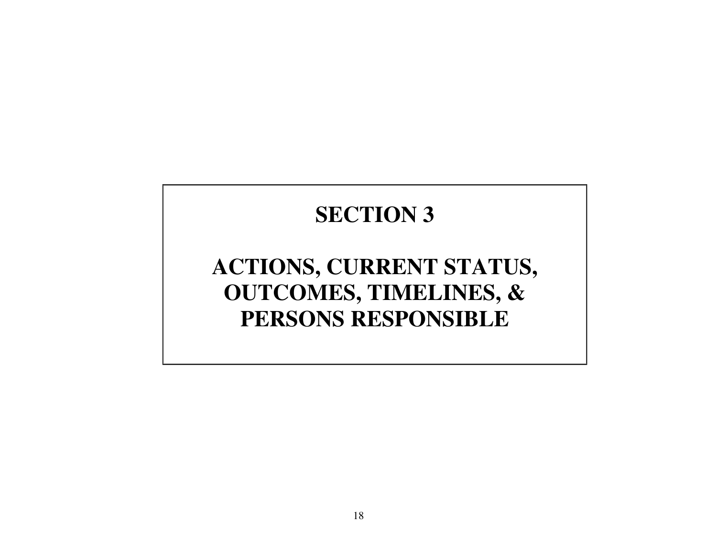# **SECTION 3**

# **ACTIONS, CURRENT STATUS, OUTCOMES, TIMELINES, & PERSONS RESPONSIBLE**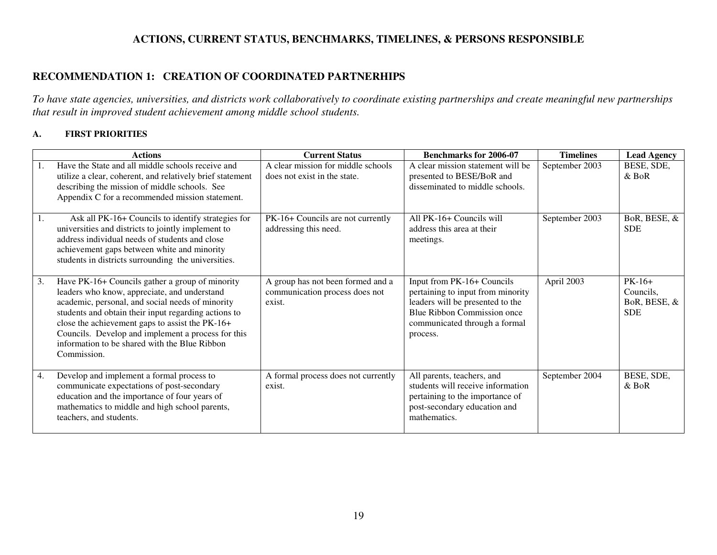### **ACTIONS, CURRENT STATUS, BENCHMARKS, TIMELINES, & PERSONS RESPONSIBLE**

#### **RECOMMENDATION 1: CREATION OF COORDINATED PARTNERHIPS**

*To have state agencies, universities, and districts work collaboratively to coordinate existing partnerships and create meaningful new partnerships that result in improved student achievement among middle school students.* 

#### **A. FIRST PRIORITIES**

|    | <b>Actions</b>                                                                                                                                                                                                                                                                                                                                                                       | <b>Current Status</b>                                                         | <b>Benchmarks for 2006-07</b>                                                                                                                                                   | <b>Timelines</b> | <b>Lead Agency</b>                                  |
|----|--------------------------------------------------------------------------------------------------------------------------------------------------------------------------------------------------------------------------------------------------------------------------------------------------------------------------------------------------------------------------------------|-------------------------------------------------------------------------------|---------------------------------------------------------------------------------------------------------------------------------------------------------------------------------|------------------|-----------------------------------------------------|
| 1. | Have the State and all middle schools receive and<br>utilize a clear, coherent, and relatively brief statement<br>describing the mission of middle schools. See<br>Appendix C for a recommended mission statement.                                                                                                                                                                   | A clear mission for middle schools<br>does not exist in the state.            | A clear mission statement will be<br>presented to BESE/BoR and<br>disseminated to middle schools.                                                                               | September 2003   | BESE, SDE,<br>$&$ BoR                               |
| 1. | Ask all PK-16+ Councils to identify strategies for<br>universities and districts to jointly implement to<br>address individual needs of students and close<br>achievement gaps between white and minority<br>students in districts surrounding the universities.                                                                                                                     | PK-16+ Councils are not currently<br>addressing this need.                    | All PK-16+ Councils will<br>address this area at their<br>meetings.                                                                                                             | September 2003   | BoR, BESE, &<br><b>SDE</b>                          |
| 3. | Have PK-16+ Councils gather a group of minority<br>leaders who know, appreciate, and understand<br>academic, personal, and social needs of minority<br>students and obtain their input regarding actions to<br>close the achievement gaps to assist the PK-16+<br>Councils. Develop and implement a process for this<br>information to be shared with the Blue Ribbon<br>Commission. | A group has not been formed and a<br>communication process does not<br>exist. | Input from PK-16+ Councils<br>pertaining to input from minority<br>leaders will be presented to the<br>Blue Ribbon Commission once<br>communicated through a formal<br>process. | April 2003       | $PK-16+$<br>Councils,<br>BoR, BESE, &<br><b>SDE</b> |
| 4. | Develop and implement a formal process to<br>communicate expectations of post-secondary<br>education and the importance of four years of<br>mathematics to middle and high school parents,<br>teachers, and students.                                                                                                                                                                | A formal process does not currently<br>exist.                                 | All parents, teachers, and<br>students will receive information<br>pertaining to the importance of<br>post-secondary education and<br>mathematics.                              | September 2004   | BESE, SDE,<br>$&$ BoR                               |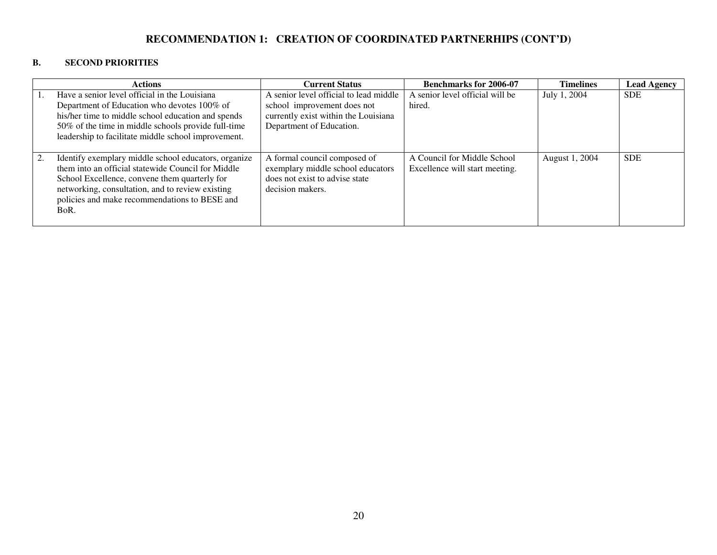### **RECOMMENDATION 1: CREATION OF COORDINATED PARTNERHIPS (CONT'D)**

#### **B. SECOND PRIORITIES**

|    | <b>Actions</b>                                                                                                                                                                                                                                                           | <b>Current Status</b>                                                                                                   | <b>Benchmarks for 2006-07</b>                                 | <b>Timelines</b> | <b>Lead Agency</b> |
|----|--------------------------------------------------------------------------------------------------------------------------------------------------------------------------------------------------------------------------------------------------------------------------|-------------------------------------------------------------------------------------------------------------------------|---------------------------------------------------------------|------------------|--------------------|
|    | Have a senior level official in the Louisiana<br>Department of Education who devotes 100% of<br>his/her time to middle school education and spends                                                                                                                       | A senior level official to lead middle<br>school improvement does not<br>currently exist within the Louisiana           | A senior level official will be<br>hired.                     | July 1, 2004     | <b>SDE</b>         |
|    | 50% of the time in middle schools provide full-time<br>leadership to facilitate middle school improvement.                                                                                                                                                               | Department of Education.                                                                                                |                                                               |                  |                    |
| 2. | Identify exemplary middle school educators, organize<br>them into an official statewide Council for Middle<br>School Excellence, convene them quarterly for<br>networking, consultation, and to review existing<br>policies and make recommendations to BESE and<br>BoR. | A formal council composed of<br>exemplary middle school educators<br>does not exist to advise state<br>decision makers. | A Council for Middle School<br>Excellence will start meeting. | August 1, 2004   | <b>SDE</b>         |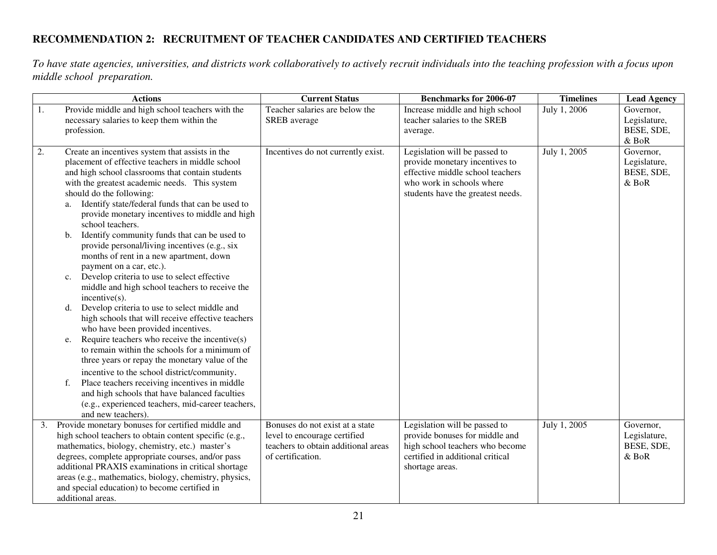## **RECOMMENDATION 2: RECRUITMENT OF TEACHER CANDIDATES AND CERTIFIED TEACHERS**

*To have state agencies, universities, and districts work collaboratively to actively recruit individuals into the teaching profession with a focus upon middle school preparation.* 

|    | <b>Actions</b>                                                                                            | <b>Current Status</b>                                               | <b>Benchmarks for 2006-07</b>                                     | <b>Timelines</b> | <b>Lead Agency</b>         |
|----|-----------------------------------------------------------------------------------------------------------|---------------------------------------------------------------------|-------------------------------------------------------------------|------------------|----------------------------|
| 1. | Provide middle and high school teachers with the                                                          | Teacher salaries are below the                                      | Increase middle and high school                                   | July 1, 2006     | Governor,                  |
|    | necessary salaries to keep them within the                                                                | SREB average                                                        | teacher salaries to the SREB                                      |                  | Legislature,               |
|    | profession.                                                                                               |                                                                     | average.                                                          |                  | BESE, SDE,<br>$&$ BoR      |
| 2. | Create an incentives system that assists in the                                                           | Incentives do not currently exist.                                  | Legislation will be passed to                                     | July 1, 2005     | Governor,                  |
|    | placement of effective teachers in middle school                                                          |                                                                     | provide monetary incentives to                                    |                  | Legislature,               |
|    | and high school classrooms that contain students                                                          |                                                                     | effective middle school teachers                                  |                  | BESE, SDE,                 |
|    | with the greatest academic needs. This system                                                             |                                                                     | who work in schools where                                         |                  | & BoR                      |
|    | should do the following:                                                                                  |                                                                     | students have the greatest needs.                                 |                  |                            |
|    | Identify state/federal funds that can be used to<br>a.                                                    |                                                                     |                                                                   |                  |                            |
|    | provide monetary incentives to middle and high                                                            |                                                                     |                                                                   |                  |                            |
|    | school teachers.<br>Identify community funds that can be used to<br>b.                                    |                                                                     |                                                                   |                  |                            |
|    | provide personal/living incentives (e.g., six                                                             |                                                                     |                                                                   |                  |                            |
|    | months of rent in a new apartment, down                                                                   |                                                                     |                                                                   |                  |                            |
|    | payment on a car, etc.).                                                                                  |                                                                     |                                                                   |                  |                            |
|    | Develop criteria to use to select effective<br>c.                                                         |                                                                     |                                                                   |                  |                            |
|    | middle and high school teachers to receive the                                                            |                                                                     |                                                                   |                  |                            |
|    | incentive(s).                                                                                             |                                                                     |                                                                   |                  |                            |
|    | Develop criteria to use to select middle and<br>d.                                                        |                                                                     |                                                                   |                  |                            |
|    | high schools that will receive effective teachers<br>who have been provided incentives.                   |                                                                     |                                                                   |                  |                            |
|    | Require teachers who receive the incentive $(s)$<br>e.                                                    |                                                                     |                                                                   |                  |                            |
|    | to remain within the schools for a minimum of                                                             |                                                                     |                                                                   |                  |                            |
|    | three years or repay the monetary value of the                                                            |                                                                     |                                                                   |                  |                            |
|    | incentive to the school district/community.                                                               |                                                                     |                                                                   |                  |                            |
|    | Place teachers receiving incentives in middle<br>f.                                                       |                                                                     |                                                                   |                  |                            |
|    | and high schools that have balanced faculties                                                             |                                                                     |                                                                   |                  |                            |
|    | (e.g., experienced teachers, mid-career teachers,                                                         |                                                                     |                                                                   |                  |                            |
|    | and new teachers).                                                                                        |                                                                     |                                                                   |                  |                            |
| 3. | Provide monetary bonuses for certified middle and                                                         | Bonuses do not exist at a state                                     | Legislation will be passed to                                     | July 1, 2005     | Governor,                  |
|    | high school teachers to obtain content specific (e.g.,<br>mathematics, biology, chemistry, etc.) master's | level to encourage certified<br>teachers to obtain additional areas | provide bonuses for middle and<br>high school teachers who become |                  | Legislature,<br>BESE, SDE, |
|    | degrees, complete appropriate courses, and/or pass                                                        | of certification.                                                   | certified in additional critical                                  |                  | & BoR                      |
|    | additional PRAXIS examinations in critical shortage                                                       |                                                                     | shortage areas.                                                   |                  |                            |
|    | areas (e.g., mathematics, biology, chemistry, physics,                                                    |                                                                     |                                                                   |                  |                            |
|    | and special education) to become certified in                                                             |                                                                     |                                                                   |                  |                            |
|    | additional areas.                                                                                         |                                                                     |                                                                   |                  |                            |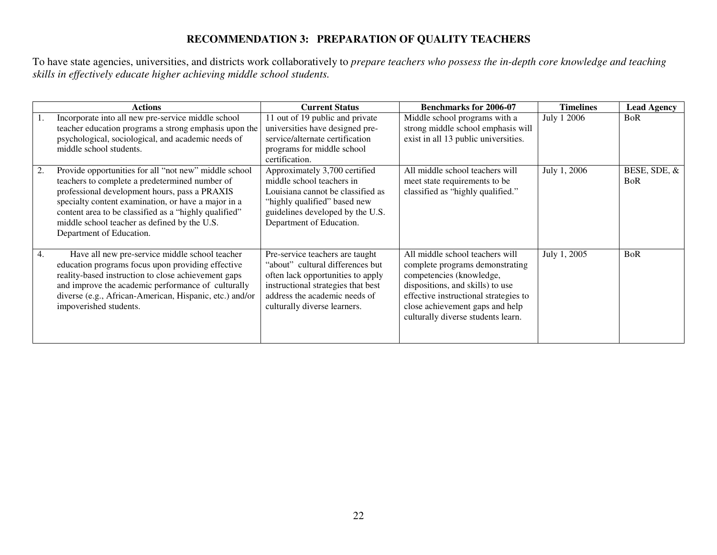### **RECOMMENDATION 3: PREPARATION OF QUALITY TEACHERS**

To have state agencies, universities, and districts work collaboratively to *prepare teachers who possess the in-depth core knowledge and teaching skills in effectively educate higher achieving middle school students.* 

|    | <b>Actions</b>                                                                                                                                                                                                                                                                                                                                       | <b>Current Status</b>                                                                                                                                                                                           | <b>Benchmarks for 2006-07</b>                                                                                                                                                                                                                        | <b>Timelines</b> | <b>Lead Agency</b>         |
|----|------------------------------------------------------------------------------------------------------------------------------------------------------------------------------------------------------------------------------------------------------------------------------------------------------------------------------------------------------|-----------------------------------------------------------------------------------------------------------------------------------------------------------------------------------------------------------------|------------------------------------------------------------------------------------------------------------------------------------------------------------------------------------------------------------------------------------------------------|------------------|----------------------------|
|    | Incorporate into all new pre-service middle school<br>teacher education programs a strong emphasis upon the<br>psychological, sociological, and academic needs of<br>middle school students.                                                                                                                                                         | 11 out of 19 public and private<br>universities have designed pre-<br>service/alternate certification<br>programs for middle school<br>certification.                                                           | Middle school programs with a<br>strong middle school emphasis will<br>exist in all 13 public universities.                                                                                                                                          | July 1 2006      | <b>BoR</b>                 |
| 2. | Provide opportunities for all "not new" middle school<br>teachers to complete a predetermined number of<br>professional development hours, pass a PRAXIS<br>specialty content examination, or have a major in a<br>content area to be classified as a "highly qualified"<br>middle school teacher as defined by the U.S.<br>Department of Education. | Approximately 3,700 certified<br>middle school teachers in<br>Louisiana cannot be classified as<br>"highly qualified" based new<br>guidelines developed by the U.S.<br>Department of Education.                 | All middle school teachers will<br>meet state requirements to be<br>classified as "highly qualified."                                                                                                                                                | July 1, 2006     | BESE, SDE, &<br><b>BoR</b> |
| 4. | Have all new pre-service middle school teacher<br>education programs focus upon providing effective<br>reality-based instruction to close achievement gaps<br>and improve the academic performance of culturally<br>diverse (e.g., African-American, Hispanic, etc.) and/or<br>impoverished students.                                                | Pre-service teachers are taught<br>"about" cultural differences but<br>often lack opportunities to apply<br>instructional strategies that best<br>address the academic needs of<br>culturally diverse learners. | All middle school teachers will<br>complete programs demonstrating<br>competencies (knowledge,<br>dispositions, and skills) to use<br>effective instructional strategies to<br>close achievement gaps and help<br>culturally diverse students learn. | July 1, 2005     | <b>BoR</b>                 |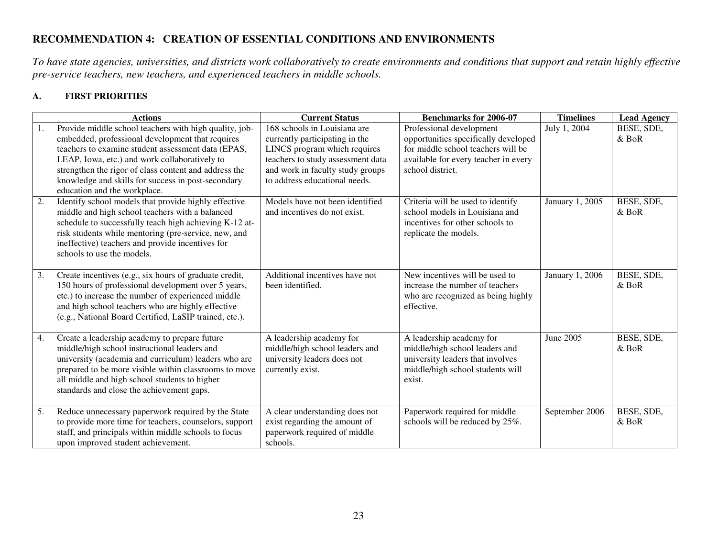### **RECOMMENDATION 4: CREATION OF ESSENTIAL CONDITIONS AND ENVIRONMENTS**

*To have state agencies, universities, and districts work collaboratively to create environments and conditions that support and retain highly effective pre-service teachers, new teachers, and experienced teachers in middle schools.* 

#### **A. FIRST PRIORITIES**

|    | <b>Actions</b>                                                                                                                                                                                                                                                                                                                                                   | <b>Current Status</b>                                                                                                                                                                                    | <b>Benchmarks for 2006-07</b>                                                                                                                                      | <b>Timelines</b> | <b>Lead Agency</b>    |
|----|------------------------------------------------------------------------------------------------------------------------------------------------------------------------------------------------------------------------------------------------------------------------------------------------------------------------------------------------------------------|----------------------------------------------------------------------------------------------------------------------------------------------------------------------------------------------------------|--------------------------------------------------------------------------------------------------------------------------------------------------------------------|------------------|-----------------------|
| 1. | Provide middle school teachers with high quality, job-<br>embedded, professional development that requires<br>teachers to examine student assessment data (EPAS,<br>LEAP, Iowa, etc.) and work collaboratively to<br>strengthen the rigor of class content and address the<br>knowledge and skills for success in post-secondary<br>education and the workplace. | 168 schools in Louisiana are<br>currently participating in the<br>LINCS program which requires<br>teachers to study assessment data<br>and work in faculty study groups<br>to address educational needs. | Professional development<br>opportunities specifically developed<br>for middle school teachers will be<br>available for every teacher in every<br>school district. | July 1, 2004     | BESE, SDE,<br>$&$ BoR |
| 2. | Identify school models that provide highly effective<br>middle and high school teachers with a balanced<br>schedule to successfully teach high achieving K-12 at-<br>risk students while mentoring (pre-service, new, and<br>ineffective) teachers and provide incentives for<br>schools to use the models.                                                      | Models have not been identified<br>and incentives do not exist.                                                                                                                                          | Criteria will be used to identify<br>school models in Louisiana and<br>incentives for other schools to<br>replicate the models.                                    | January 1, 2005  | BESE, SDE,<br>$&$ BoR |
| 3. | Create incentives (e.g., six hours of graduate credit,<br>150 hours of professional development over 5 years,<br>etc.) to increase the number of experienced middle<br>and high school teachers who are highly effective<br>(e.g., National Board Certified, LaSIP trained, etc.).                                                                               | Additional incentives have not<br>been identified.                                                                                                                                                       | New incentives will be used to<br>increase the number of teachers<br>who are recognized as being highly<br>effective.                                              | January 1, 2006  | BESE, SDE,<br>$&$ BoR |
| 4. | Create a leadership academy to prepare future<br>middle/high school instructional leaders and<br>university (academia and curriculum) leaders who are<br>prepared to be more visible within classrooms to move<br>all middle and high school students to higher<br>standards and close the achievement gaps.                                                     | A leadership academy for<br>middle/high school leaders and<br>university leaders does not<br>currently exist.                                                                                            | A leadership academy for<br>middle/high school leaders and<br>university leaders that involves<br>middle/high school students will<br>exist.                       | June 2005        | BESE, SDE,<br>$&$ BoR |
| 5. | Reduce unnecessary paperwork required by the State<br>to provide more time for teachers, counselors, support<br>staff, and principals within middle schools to focus<br>upon improved student achievement.                                                                                                                                                       | A clear understanding does not<br>exist regarding the amount of<br>paperwork required of middle<br>schools.                                                                                              | Paperwork required for middle<br>schools will be reduced by 25%.                                                                                                   | September 2006   | BESE, SDE,<br>$&$ BoR |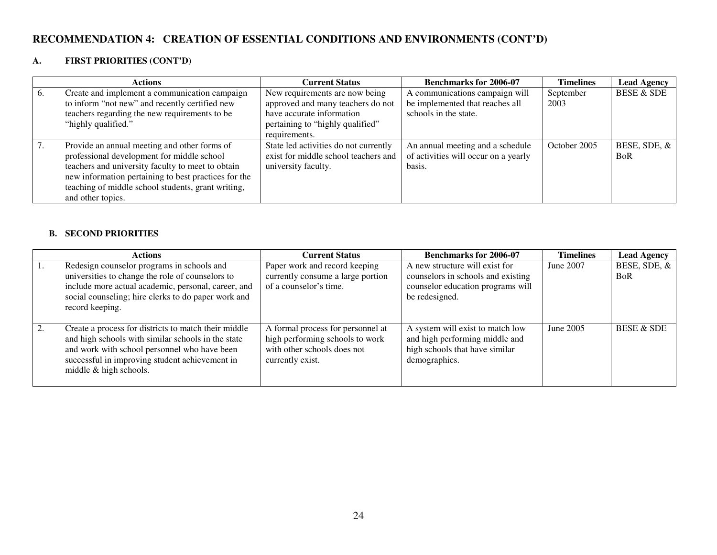### **RECOMMENDATION 4: CREATION OF ESSENTIAL CONDITIONS AND ENVIRONMENTS (CONT'D)**

#### **A. FIRST PRIORITIES (CONT'D)**

|    | <b>Actions</b>                                       | <b>Current Status</b>                 | <b>Benchmarks for 2006-07</b>        | <b>Timelines</b> | <b>Lead Agency</b>    |
|----|------------------------------------------------------|---------------------------------------|--------------------------------------|------------------|-----------------------|
| 6. | Create and implement a communication campaign        | New requirements are now being        | A communications campaign will       | September        | <b>BESE &amp; SDE</b> |
|    | to inform "not new" and recently certified new       | approved and many teachers do not     | be implemented that reaches all      | 2003             |                       |
|    | teachers regarding the new requirements to be        | have accurate information             | schools in the state.                |                  |                       |
|    | "highly qualified."                                  | pertaining to "highly qualified"      |                                      |                  |                       |
|    |                                                      | requirements.                         |                                      |                  |                       |
|    | Provide an annual meeting and other forms of         | State led activities do not currently | An annual meeting and a schedule     | October 2005     | BESE, SDE, &          |
|    | professional development for middle school           | exist for middle school teachers and  | of activities will occur on a yearly |                  | <b>BoR</b>            |
|    | teachers and university faculty to meet to obtain    | university faculty.                   | basis.                               |                  |                       |
|    | new information pertaining to best practices for the |                                       |                                      |                  |                       |
|    | teaching of middle school students, grant writing,   |                                       |                                      |                  |                       |
|    | and other topics.                                    |                                       |                                      |                  |                       |

#### **B. SECOND PRIORITIES**

|            | <b>Actions</b>                                                                                                                                                                                                                         | <b>Current Status</b>                                                                                                   | <b>Benchmarks for 2006-07</b>                                                                                               | <b>Timelines</b> | <b>Lead Agency</b>         |
|------------|----------------------------------------------------------------------------------------------------------------------------------------------------------------------------------------------------------------------------------------|-------------------------------------------------------------------------------------------------------------------------|-----------------------------------------------------------------------------------------------------------------------------|------------------|----------------------------|
| $\vert 1.$ | Redesign counselor programs in schools and<br>universities to change the role of counselors to<br>include more actual academic, personal, career, and<br>social counseling; hire clerks to do paper work and<br>record keeping.        | Paper work and record keeping<br>currently consume a large portion<br>of a counselor's time.                            | A new structure will exist for<br>counselors in schools and existing<br>counselor education programs will<br>be redesigned. | June 2007        | BESE, SDE, &<br><b>BoR</b> |
| 2.         | Create a process for districts to match their middle<br>and high schools with similar schools in the state<br>and work with school personnel who have been<br>successful in improving student achievement in<br>middle & high schools. | A formal process for personnel at<br>high performing schools to work<br>with other schools does not<br>currently exist. | A system will exist to match low<br>and high performing middle and<br>high schools that have similar<br>demographics.       | June 2005        | <b>BESE &amp; SDE</b>      |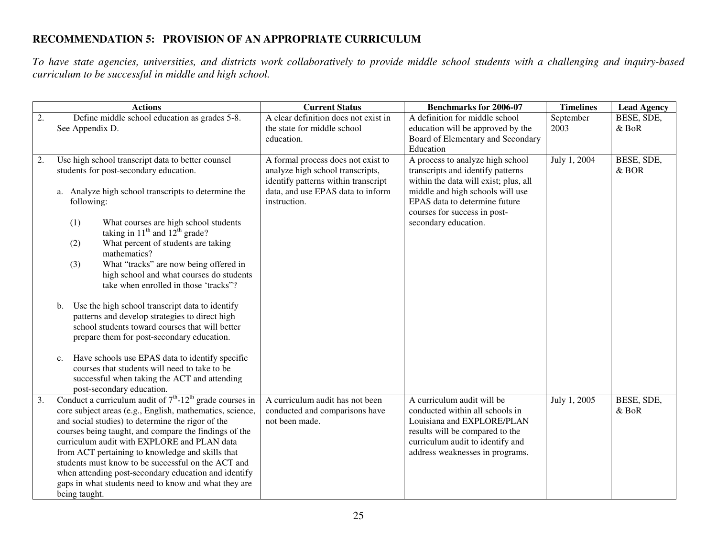### **RECOMMENDATION 5: PROVISION OF AN APPROPRIATE CURRICULUM**

*To have state agencies, universities, and districts work collaboratively to provide middle school students with a challenging and inquiry-based curriculum to be successful in middle and high school.* 

|    | <b>Actions</b>                                                                                         | <b>Current Status</b>                                                    | <b>Benchmarks for 2006-07</b>                                             | <b>Timelines</b>  | <b>Lead Agency</b>    |
|----|--------------------------------------------------------------------------------------------------------|--------------------------------------------------------------------------|---------------------------------------------------------------------------|-------------------|-----------------------|
| 2. | Define middle school education as grades 5-8.<br>See Appendix D.                                       | A clear definition does not exist in<br>the state for middle school      | A definition for middle school<br>education will be approved by the       | September<br>2003 | BESE, SDE,<br>$&$ BoR |
|    |                                                                                                        | education.                                                               | Board of Elementary and Secondary                                         |                   |                       |
|    |                                                                                                        |                                                                          | Education                                                                 |                   |                       |
| 2. | Use high school transcript data to better counsel                                                      | A formal process does not exist to                                       | A process to analyze high school                                          | July 1, 2004      | BESE, SDE,            |
|    | students for post-secondary education.                                                                 | analyze high school transcripts,                                         | transcripts and identify patterns                                         |                   | $&$ BOR               |
|    | a. Analyze high school transcripts to determine the                                                    | identify patterns within transcript<br>data, and use EPAS data to inform | within the data will exist; plus, all<br>middle and high schools will use |                   |                       |
|    | following:                                                                                             | instruction.                                                             | EPAS data to determine future                                             |                   |                       |
|    |                                                                                                        |                                                                          | courses for success in post-                                              |                   |                       |
|    | (1)<br>What courses are high school students                                                           |                                                                          | secondary education.                                                      |                   |                       |
|    | taking in $11th$ and $12th$ grade?<br>What percent of students are taking<br>(2)                       |                                                                          |                                                                           |                   |                       |
|    | mathematics?                                                                                           |                                                                          |                                                                           |                   |                       |
|    | What "tracks" are now being offered in<br>(3)                                                          |                                                                          |                                                                           |                   |                       |
|    | high school and what courses do students<br>take when enrolled in those 'tracks"?                      |                                                                          |                                                                           |                   |                       |
|    |                                                                                                        |                                                                          |                                                                           |                   |                       |
|    | Use the high school transcript data to identify<br>$\mathbf{b}$ .                                      |                                                                          |                                                                           |                   |                       |
|    | patterns and develop strategies to direct high                                                         |                                                                          |                                                                           |                   |                       |
|    | school students toward courses that will better<br>prepare them for post-secondary education.          |                                                                          |                                                                           |                   |                       |
|    |                                                                                                        |                                                                          |                                                                           |                   |                       |
|    | Have schools use EPAS data to identify specific<br>c.                                                  |                                                                          |                                                                           |                   |                       |
|    | courses that students will need to take to be                                                          |                                                                          |                                                                           |                   |                       |
|    | successful when taking the ACT and attending                                                           |                                                                          |                                                                           |                   |                       |
| 3. | post-secondary education.<br>Conduct a curriculum audit of $7^{th}$ -12 <sup>th</sup> grade courses in | A curriculum audit has not been                                          | A curriculum audit will be                                                | July 1, 2005      | BESE, SDE,            |
|    | core subject areas (e.g., English, mathematics, science,                                               | conducted and comparisons have                                           | conducted within all schools in                                           |                   | $&$ BoR               |
|    | and social studies) to determine the rigor of the                                                      | not been made.                                                           | Louisiana and EXPLORE/PLAN                                                |                   |                       |
|    | courses being taught, and compare the findings of the<br>curriculum audit with EXPLORE and PLAN data   |                                                                          | results will be compared to the<br>curriculum audit to identify and       |                   |                       |
|    | from ACT pertaining to knowledge and skills that                                                       |                                                                          | address weaknesses in programs.                                           |                   |                       |
|    | students must know to be successful on the ACT and                                                     |                                                                          |                                                                           |                   |                       |
|    | when attending post-secondary education and identify                                                   |                                                                          |                                                                           |                   |                       |
|    | gaps in what students need to know and what they are                                                   |                                                                          |                                                                           |                   |                       |
|    | being taught.                                                                                          |                                                                          |                                                                           |                   |                       |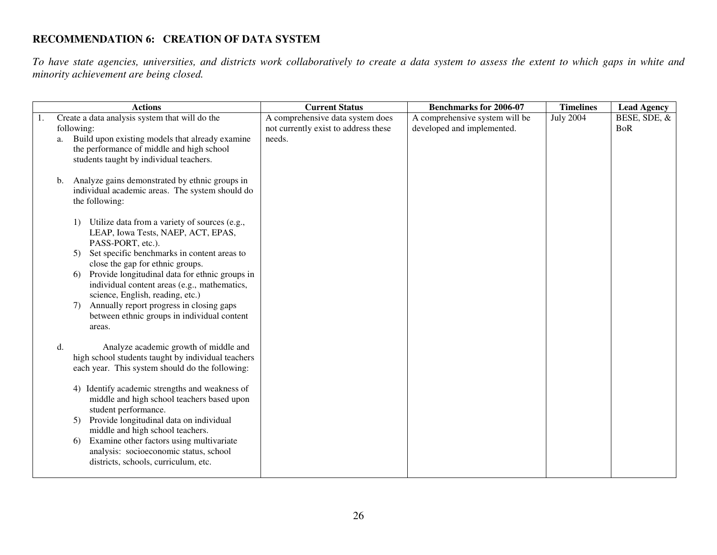## **RECOMMENDATION 6: CREATION OF DATA SYSTEM**

*To have state agencies, universities, and districts work collaboratively to create a data system to assess the extent to which gaps in white and minority achievement are being closed.* 

|    | <b>Actions</b>                                                                                                                                               | <b>Current Status</b>                                                              | <b>Benchmarks for 2006-07</b>                                | <b>Timelines</b> | <b>Lead Agency</b>         |
|----|--------------------------------------------------------------------------------------------------------------------------------------------------------------|------------------------------------------------------------------------------------|--------------------------------------------------------------|------------------|----------------------------|
| a. | Create a data analysis system that will do the<br>following:<br>Build upon existing models that already examine<br>the performance of middle and high school | A comprehensive data system does<br>not currently exist to address these<br>needs. | A comprehensive system will be<br>developed and implemented. | <b>July 2004</b> | BESE, SDE, &<br><b>BoR</b> |
|    | students taught by individual teachers.                                                                                                                      |                                                                                    |                                                              |                  |                            |
| b. | Analyze gains demonstrated by ethnic groups in<br>individual academic areas. The system should do<br>the following:                                          |                                                                                    |                                                              |                  |                            |
|    | Utilize data from a variety of sources (e.g.,<br>LEAP, Iowa Tests, NAEP, ACT, EPAS,<br>PASS-PORT, etc.).                                                     |                                                                                    |                                                              |                  |                            |
|    | Set specific benchmarks in content areas to<br>5)<br>close the gap for ethnic groups.                                                                        |                                                                                    |                                                              |                  |                            |
|    | Provide longitudinal data for ethnic groups in<br>6)<br>individual content areas (e.g., mathematics,<br>science, English, reading, etc.)                     |                                                                                    |                                                              |                  |                            |
|    | Annually report progress in closing gaps<br>7)<br>between ethnic groups in individual content<br>areas.                                                      |                                                                                    |                                                              |                  |                            |
| d. | Analyze academic growth of middle and<br>high school students taught by individual teachers<br>each year. This system should do the following:               |                                                                                    |                                                              |                  |                            |
|    | 4) Identify academic strengths and weakness of<br>middle and high school teachers based upon<br>student performance.                                         |                                                                                    |                                                              |                  |                            |
|    | Provide longitudinal data on individual<br>5)<br>middle and high school teachers.<br>Examine other factors using multivariate<br>6)                          |                                                                                    |                                                              |                  |                            |
|    | analysis: socioeconomic status, school<br>districts, schools, curriculum, etc.                                                                               |                                                                                    |                                                              |                  |                            |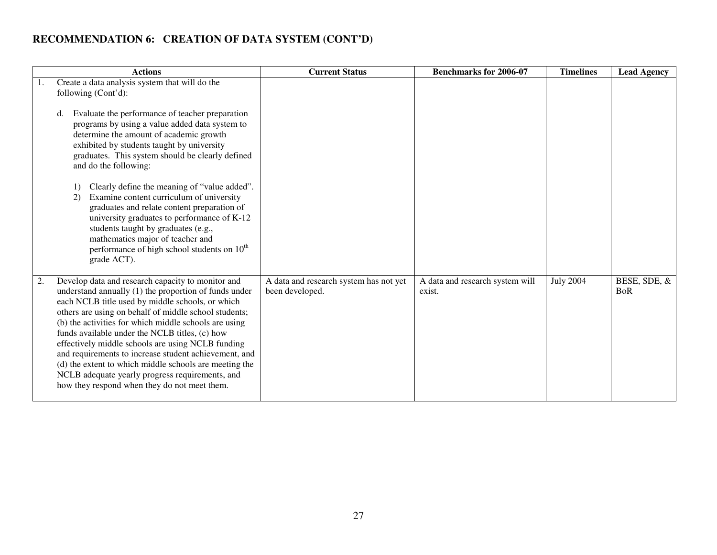### **RECOMMENDATION 6: CREATION OF DATA SYSTEM (CONT'D)**

| <b>Actions</b>                                                                                                                                                                                                                                                                                                                                                                                                                                                                                                                                                                                                      | <b>Current Status</b>                                     | <b>Benchmarks for 2006-07</b>             | <b>Timelines</b> | <b>Lead Agency</b>         |
|---------------------------------------------------------------------------------------------------------------------------------------------------------------------------------------------------------------------------------------------------------------------------------------------------------------------------------------------------------------------------------------------------------------------------------------------------------------------------------------------------------------------------------------------------------------------------------------------------------------------|-----------------------------------------------------------|-------------------------------------------|------------------|----------------------------|
| Create a data analysis system that will do the<br>1.<br>following (Cont'd):<br>Evaluate the performance of teacher preparation<br>d.<br>programs by using a value added data system to<br>determine the amount of academic growth<br>exhibited by students taught by university<br>graduates. This system should be clearly defined<br>and do the following:<br>Clearly define the meaning of "value added".                                                                                                                                                                                                        |                                                           |                                           |                  |                            |
| Examine content curriculum of university<br>2)<br>graduates and relate content preparation of<br>university graduates to performance of K-12<br>students taught by graduates (e.g.,<br>mathematics major of teacher and<br>performance of high school students on 10 <sup>th</sup><br>grade ACT).                                                                                                                                                                                                                                                                                                                   |                                                           |                                           |                  |                            |
| Develop data and research capacity to monitor and<br>2.<br>understand annually (1) the proportion of funds under<br>each NCLB title used by middle schools, or which<br>others are using on behalf of middle school students;<br>(b) the activities for which middle schools are using<br>funds available under the NCLB titles, (c) how<br>effectively middle schools are using NCLB funding<br>and requirements to increase student achievement, and<br>(d) the extent to which middle schools are meeting the<br>NCLB adequate yearly progress requirements, and<br>how they respond when they do not meet them. | A data and research system has not yet<br>been developed. | A data and research system will<br>exist. | <b>July 2004</b> | BESE, SDE, &<br><b>BoR</b> |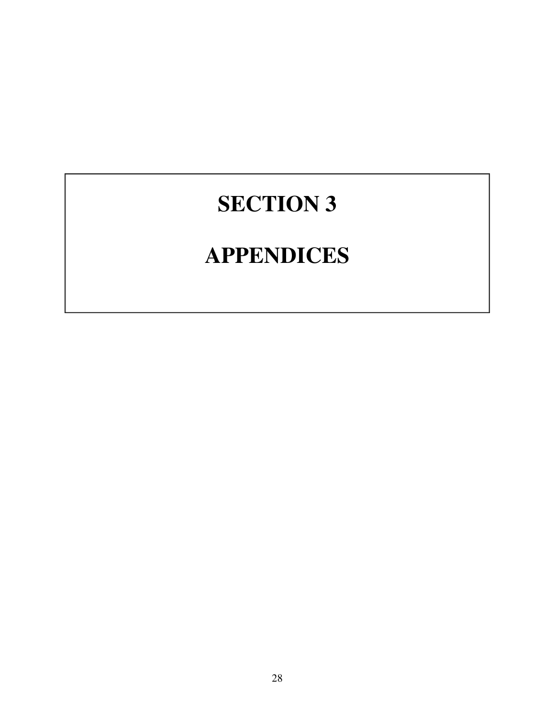# **SECTION 3**

# **APPENDICES**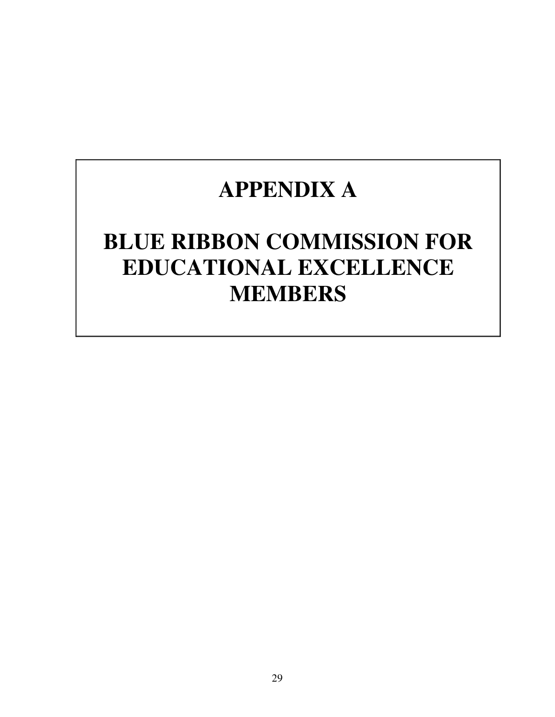# **APPENDIX A**

# **BLUE RIBBON COMMISSION FOR EDUCATIONAL EXCELLENCE MEMBERS**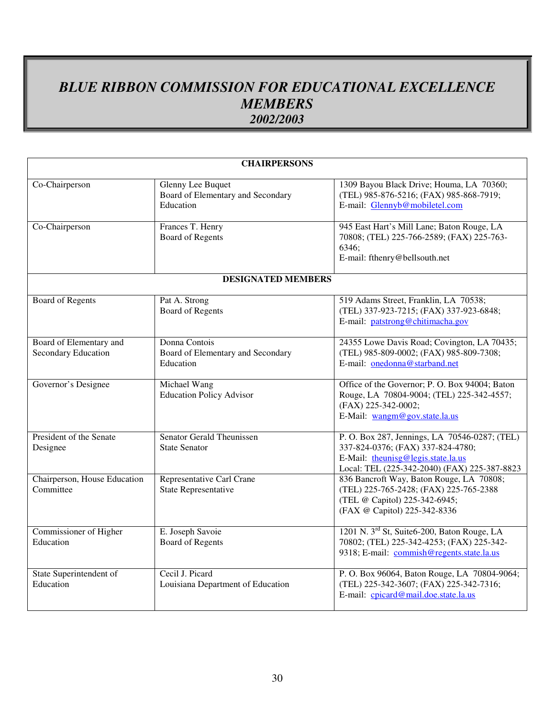## *BLUE RIBBON COMMISSION FOR EDUCATIONAL EXCELLENCE MEMBERS 2002/2003*

| <b>CHAIRPERSONS</b>                            |                                                                     |                                                                                                                                                                          |  |  |
|------------------------------------------------|---------------------------------------------------------------------|--------------------------------------------------------------------------------------------------------------------------------------------------------------------------|--|--|
| Co-Chairperson                                 | Glenny Lee Buquet<br>Board of Elementary and Secondary<br>Education | 1309 Bayou Black Drive; Houma, LA 70360;<br>(TEL) 985-876-5216; (FAX) 985-868-7919;<br>E-mail: Glennyb@mobiletel.com                                                     |  |  |
| Co-Chairperson                                 | Frances T. Henry<br><b>Board of Regents</b>                         | 945 East Hart's Mill Lane; Baton Rouge, LA<br>70808; (TEL) 225-766-2589; (FAX) 225-763-<br>6346;<br>E-mail: fthenry@bellsouth.net                                        |  |  |
|                                                | <b>DESIGNATED MEMBERS</b>                                           |                                                                                                                                                                          |  |  |
| <b>Board of Regents</b>                        | Pat A. Strong<br><b>Board of Regents</b>                            | 519 Adams Street, Franklin, LA 70538;<br>(TEL) 337-923-7215; (FAX) 337-923-6848;<br>E-mail: patstrong@chitimacha.gov                                                     |  |  |
| Board of Elementary and<br>Secondary Education | Donna Contois<br>Board of Elementary and Secondary<br>Education     | 24355 Lowe Davis Road; Covington, LA 70435;<br>(TEL) 985-809-0002; (FAX) 985-809-7308;<br>E-mail: onedonna@starband.net                                                  |  |  |
| Governor's Designee                            | Michael Wang<br><b>Education Policy Advisor</b>                     | Office of the Governor; P. O. Box 94004; Baton<br>Rouge, LA 70804-9004; (TEL) 225-342-4557;<br>(FAX) 225-342-0002;<br>E-Mail: wangm@gov.state.la.us                      |  |  |
| President of the Senate<br>Designee            | <b>Senator Gerald Theunissen</b><br><b>State Senator</b>            | P. O. Box 287, Jennings, LA 70546-0287; (TEL)<br>337-824-0376; (FAX) 337-824-4780;<br>E-Mail: theunisg@legis.state.la.us<br>Local: TEL (225-342-2040) (FAX) 225-387-8823 |  |  |
| Chairperson, House Education<br>Committee      | Representative Carl Crane<br><b>State Representative</b>            | 836 Bancroft Way, Baton Rouge, LA 70808;<br>(TEL) 225-765-2428; (FAX) 225-765-2388<br>(TEL @ Capitol) 225-342-6945;<br>(FAX @ Capitol) 225-342-8336                      |  |  |
| Commissioner of Higher<br>Education            | E. Joseph Savoie<br><b>Board of Regents</b>                         | 1201 N. 3 <sup>rd</sup> St, Suite6-200, Baton Rouge, LA<br>70802; (TEL) 225-342-4253; (FAX) 225-342-<br>9318; E-mail: commish@regents.state.la.us                        |  |  |
| State Superintendent of<br>Education           | Cecil J. Picard<br>Louisiana Department of Education                | P. O. Box 96064, Baton Rouge, LA 70804-9064;<br>(TEL) 225-342-3607; (FAX) 225-342-7316;<br>E-mail: cpicard@mail.doe.state.la.us                                          |  |  |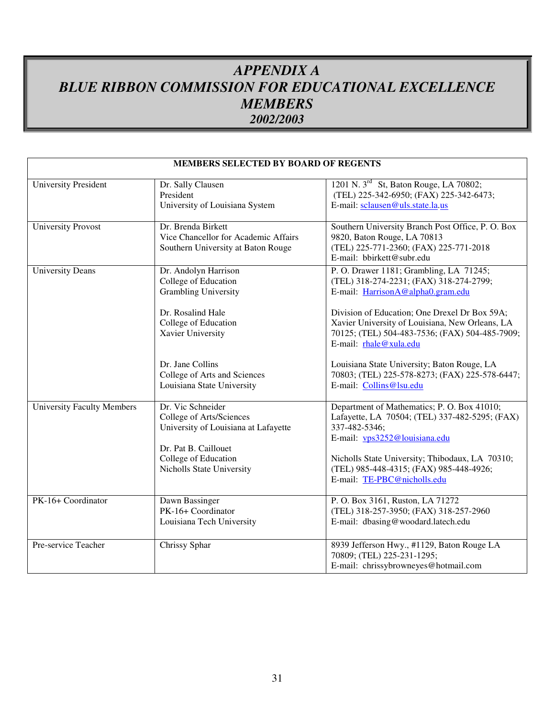## *APPENDIX A BLUE RIBBON COMMISSION FOR EDUCATIONAL EXCELLENCE MEMBERS 2002/2003*

|                                   | <b>MEMBERS SELECTED BY BOARD OF REGENTS</b>                                                                                                                        |                                                                                                                                                                                                                                               |
|-----------------------------------|--------------------------------------------------------------------------------------------------------------------------------------------------------------------|-----------------------------------------------------------------------------------------------------------------------------------------------------------------------------------------------------------------------------------------------|
| <b>University President</b>       | Dr. Sally Clausen<br>President<br>University of Louisiana System                                                                                                   | 1201 N. 3 <sup>rd</sup> St, Baton Rouge, LA 70802;<br>(TEL) 225-342-6950; (FAX) 225-342-6473;<br>E-mail: sclausen@uls.state.la.us                                                                                                             |
| <b>University Provost</b>         | Dr. Brenda Birkett<br>Vice Chancellor for Academic Affairs<br>Southern University at Baton Rouge                                                                   | Southern University Branch Post Office, P. O. Box<br>9820, Baton Rouge, LA 70813<br>(TEL) 225-771-2360; (FAX) 225-771-2018<br>E-mail: bbirkett@subr.edu                                                                                       |
| <b>University Deans</b>           | Dr. Andolyn Harrison<br>College of Education<br><b>Grambling University</b>                                                                                        | P. O. Drawer 1181; Grambling, LA 71245;<br>(TEL) 318-274-2231; (FAX) 318-274-2799;<br>E-mail: HarrisonA@alpha0.gram.edu                                                                                                                       |
|                                   | Dr. Rosalind Hale<br>College of Education<br>Xavier University                                                                                                     | Division of Education; One Drexel Dr Box 59A;<br>Xavier University of Louisiana, New Orleans, LA<br>70125; (TEL) 504-483-7536; (FAX) 504-485-7909;<br>E-mail: rhale@xula.edu                                                                  |
|                                   | Dr. Jane Collins<br>College of Arts and Sciences<br>Louisiana State University                                                                                     | Louisiana State University; Baton Rouge, LA<br>70803; (TEL) 225-578-8273; (FAX) 225-578-6447;<br>E-mail: Collins@lsu.edu                                                                                                                      |
| <b>University Faculty Members</b> | Dr. Vic Schneider<br>College of Arts/Sciences<br>University of Louisiana at Lafayette<br>Dr. Pat B. Caillouet<br>College of Education<br>Nicholls State University | Department of Mathematics; P. O. Box 41010;<br>Lafayette, LA 70504; (TEL) 337-482-5295; (FAX)<br>337-482-5346;<br>E-mail: vps3252@louisiana.edu<br>Nicholls State University; Thibodaux, LA 70310;<br>(TEL) 985-448-4315; (FAX) 985-448-4926; |
|                                   |                                                                                                                                                                    | E-mail: TE-PBC@nicholls.edu                                                                                                                                                                                                                   |
| PK-16+ Coordinator                | Dawn Bassinger<br>PK-16+ Coordinator<br>Louisiana Tech University                                                                                                  | P. O. Box 3161, Ruston, LA 71272<br>(TEL) 318-257-3950; (FAX) 318-257-2960<br>E-mail: dbasing@woodard.latech.edu                                                                                                                              |
| Pre-service Teacher               | Chrissy Sphar                                                                                                                                                      | 8939 Jefferson Hwy., #1129, Baton Rouge LA<br>70809; (TEL) 225-231-1295;<br>E-mail: chrissybrowneyes@hotmail.com                                                                                                                              |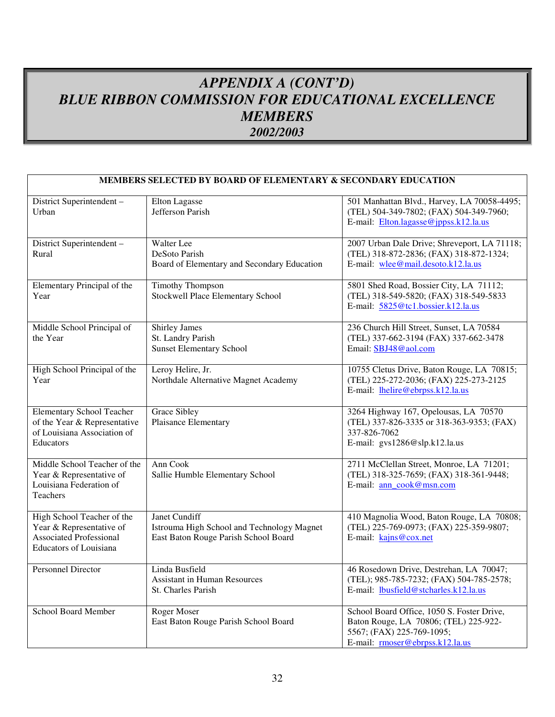## *APPENDIX A (CONT'D) BLUE RIBBON COMMISSION FOR EDUCATIONAL EXCELLENCE MEMBERS 2002/2003*

|                                                                                                                           | MEMBERS SELECTED BY BOARD OF ELEMENTARY & SECONDARY EDUCATION                                       |                                                                                                                                                     |
|---------------------------------------------------------------------------------------------------------------------------|-----------------------------------------------------------------------------------------------------|-----------------------------------------------------------------------------------------------------------------------------------------------------|
| District Superintendent -<br>Urban                                                                                        | Elton Lagasse<br>Jefferson Parish                                                                   | 501 Manhattan Blvd., Harvey, LA 70058-4495;<br>(TEL) 504-349-7802; (FAX) 504-349-7960;<br>E-mail: Elton.lagasse@jppss.k12.la.us                     |
| District Superintendent-<br>Rural                                                                                         | Walter Lee<br>DeSoto Parish<br>Board of Elementary and Secondary Education                          | 2007 Urban Dale Drive; Shreveport, LA 71118;<br>(TEL) 318-872-2836; (FAX) 318-872-1324;<br>E-mail: wlee@mail.desoto.k12.la.us                       |
| Elementary Principal of the<br>Year                                                                                       | <b>Timothy Thompson</b><br>Stockwell Place Elementary School                                        | 5801 Shed Road, Bossier City, LA 71112;<br>(TEL) 318-549-5820; (FAX) 318-549-5833<br>E-mail: 5825@tc1.bossier.k12.la.us                             |
| Middle School Principal of<br>the Year                                                                                    | Shirley James<br>St. Landry Parish<br><b>Sunset Elementary School</b>                               | 236 Church Hill Street, Sunset, LA 70584<br>(TEL) 337-662-3194 (FAX) 337-662-3478<br>Email: SBJ48@aol.com                                           |
| High School Principal of the<br>Year                                                                                      | Leroy Helire, Jr.<br>Northdale Alternative Magnet Academy                                           | 10755 Cletus Drive, Baton Rouge, LA 70815;<br>(TEL) 225-272-2036; (FAX) 225-273-2125<br>E-mail: lhelire@ebrpss.k12.la.us                            |
| <b>Elementary School Teacher</b><br>of the Year & Representative<br>of Louisiana Association of<br>Educators              | Grace Sibley<br>Plaisance Elementary                                                                | 3264 Highway 167, Opelousas, LA 70570<br>(TEL) 337-826-3335 or 318-363-9353; (FAX)<br>337-826-7062<br>E-mail: gvs1286@slp.k12.la.us                 |
| Middle School Teacher of the<br>Year & Representative of<br>Louisiana Federation of<br>Teachers                           | Ann Cook<br>Sallie Humble Elementary School                                                         | 2711 McClellan Street, Monroe, LA 71201;<br>(TEL) 318-325-7659; (FAX) 318-361-9448;<br>E-mail: ann_cook@msn.com                                     |
| High School Teacher of the<br>Year & Representative of<br><b>Associated Professional</b><br><b>Educators of Louisiana</b> | Janet Cundiff<br>Istrouma High School and Technology Magnet<br>East Baton Rouge Parish School Board | 410 Magnolia Wood, Baton Rouge, LA 70808;<br>(TEL) 225-769-0973; (FAX) 225-359-9807;<br>E-mail: kajns@cox.net                                       |
| Personnel Director                                                                                                        | Linda Busfield<br><b>Assistant in Human Resources</b><br>St. Charles Parish                         | 46 Rosedown Drive, Destrehan, LA 70047;<br>(TEL); 985-785-7232; (FAX) 504-785-2578;<br>E-mail: lbusfield@stcharles.k12.la.us                        |
| School Board Member                                                                                                       | Roger Moser<br>East Baton Rouge Parish School Board                                                 | School Board Office, 1050 S. Foster Drive,<br>Baton Rouge, LA 70806; (TEL) 225-922-<br>5567; (FAX) 225-769-1095;<br>E-mail: rmoser@ebrpss.k12.la.us |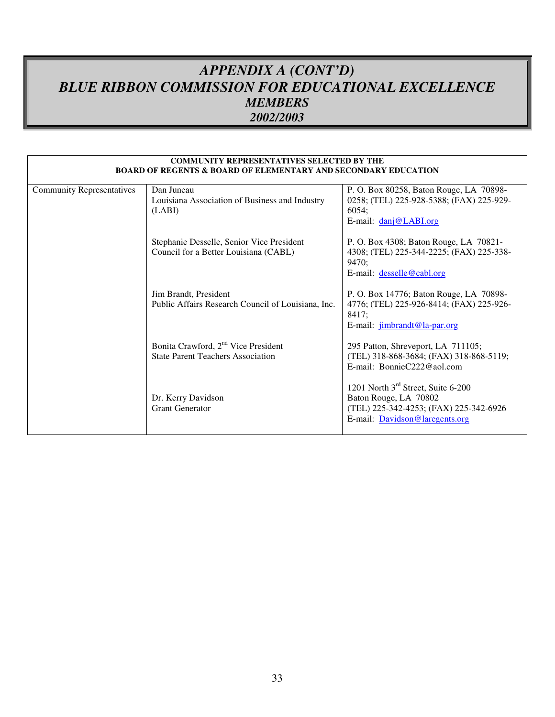## *APPENDIX A (CONT'D) BLUE RIBBON COMMISSION FOR EDUCATIONAL EXCELLENCE MEMBERS 2002/2003*

|                                  | <b>COMMUNITY REPRESENTATIVES SELECTED BY THE</b><br><b>BOARD OF REGENTS &amp; BOARD OF ELEMENTARY AND SECONDARY EDUCATION</b> |                                                                                                                                                     |
|----------------------------------|-------------------------------------------------------------------------------------------------------------------------------|-----------------------------------------------------------------------------------------------------------------------------------------------------|
| <b>Community Representatives</b> | Dan Juneau                                                                                                                    | P. O. Box 80258, Baton Rouge, LA 70898-                                                                                                             |
|                                  | Louisiana Association of Business and Industry<br>(LABI)                                                                      | 0258; (TEL) 225-928-5388; (FAX) 225-929-<br>6054;<br>E-mail: danj@LABI.org                                                                          |
|                                  | Stephanie Desselle, Senior Vice President<br>Council for a Better Louisiana (CABL)                                            | P. O. Box 4308; Baton Rouge, LA 70821-<br>4308; (TEL) 225-344-2225; (FAX) 225-338-<br>9470;<br>E-mail: desselle@cabl.org                            |
|                                  | Jim Brandt, President<br>Public Affairs Research Council of Louisiana, Inc.                                                   | P. O. Box 14776; Baton Rouge, LA 70898-<br>4776; (TEL) 225-926-8414; (FAX) 225-926-<br>8417;<br>E-mail: jimbrandt@la-par.org                        |
|                                  | Bonita Crawford, 2 <sup>nd</sup> Vice President<br><b>State Parent Teachers Association</b>                                   | 295 Patton, Shreveport, LA 711105;<br>(TEL) 318-868-3684; (FAX) 318-868-5119;<br>E-mail: BonnieC222@aol.com                                         |
|                                  | Dr. Kerry Davidson<br><b>Grant Generator</b>                                                                                  | 1201 North 3 <sup>rd</sup> Street, Suite 6-200<br>Baton Rouge, LA 70802<br>(TEL) 225-342-4253; (FAX) 225-342-6926<br>E-mail: Davidson@laregents.org |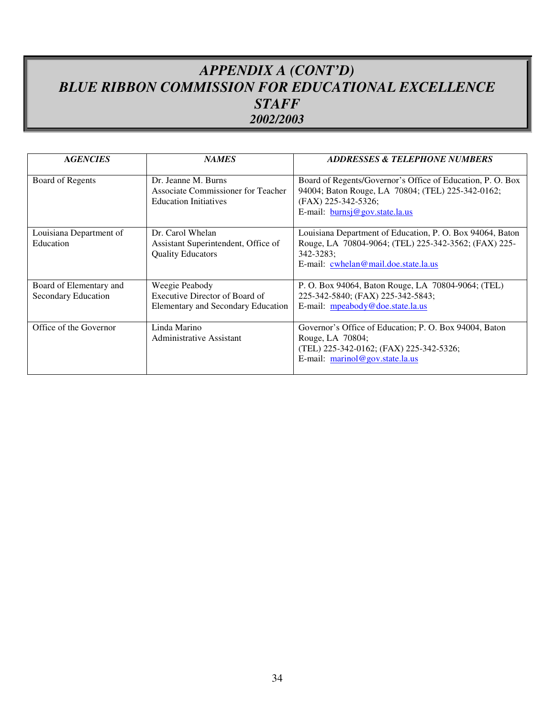## *APPENDIX A (CONT'D) BLUE RIBBON COMMISSION FOR EDUCATIONAL EXCELLENCE STAFF 2002/2003*

| <b>AGENCIES</b>                                | <b>NAMES</b>                                                                              | <b>ADDRESSES &amp; TELEPHONE NUMBERS</b>                                                                                                                                 |
|------------------------------------------------|-------------------------------------------------------------------------------------------|--------------------------------------------------------------------------------------------------------------------------------------------------------------------------|
| Board of Regents                               | Dr. Jeanne M. Burns<br>Associate Commissioner for Teacher<br><b>Education Initiatives</b> | Board of Regents/Governor's Office of Education, P. O. Box<br>94004; Baton Rouge, LA 70804; (TEL) 225-342-0162;<br>(FAX) 225-342-5326;<br>E-mail: burnsj@gov.state.la.us |
| Louisiana Department of<br>Education           | Dr. Carol Whelan<br>Assistant Superintendent, Office of<br><b>Quality Educators</b>       | Louisiana Department of Education, P. O. Box 94064, Baton<br>Rouge, LA 70804-9064; (TEL) 225-342-3562; (FAX) 225-<br>342-3283;<br>E-mail: cwhelan@mail.doe.state.la.us   |
| Board of Elementary and<br>Secondary Education | Weegie Peabody<br>Executive Director of Board of<br>Elementary and Secondary Education    | P. O. Box 94064, Baton Rouge, LA 70804-9064; (TEL)<br>225-342-5840; (FAX) 225-342-5843;<br>E-mail: mpeabody@doe.state.la.us                                              |
| Office of the Governor                         | Linda Marino<br>Administrative Assistant                                                  | Governor's Office of Education; P. O. Box 94004, Baton<br>Rouge, LA 70804;<br>(TEL) 225-342-0162; (FAX) 225-342-5326;<br>E-mail: marinol@gov.state.la.us                 |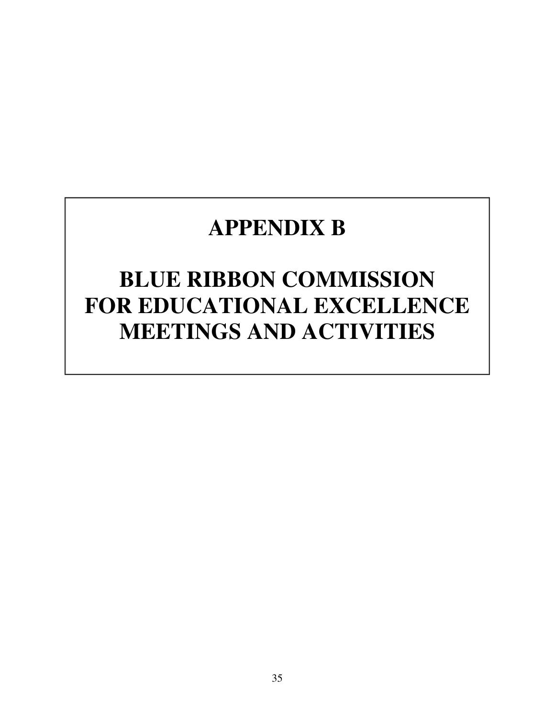# **APPENDIX B**

# **BLUE RIBBON COMMISSION FOR EDUCATIONAL EXCELLENCE MEETINGS AND ACTIVITIES**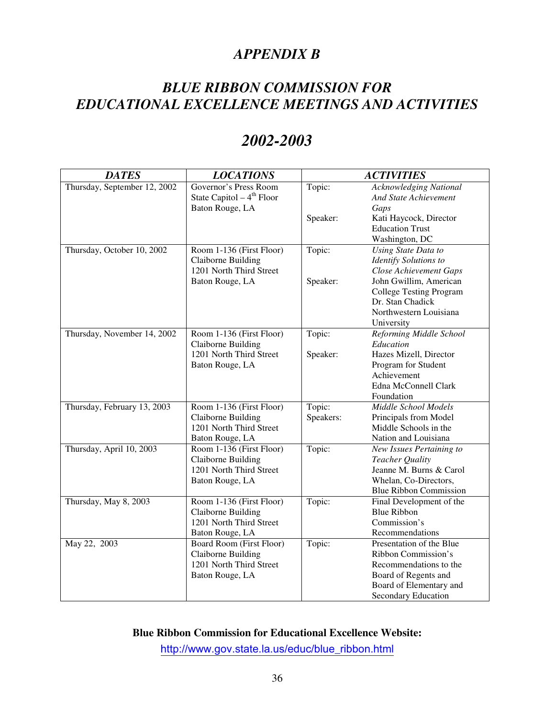## *APPENDIX B*

## *BLUE RIBBON COMMISSION FOR EDUCATIONAL EXCELLENCE MEETINGS AND ACTIVITIES*

# *2002-2003*

| <b>DATES</b>                 | <b>LOCATIONS</b>                                                                                    |                     | <b>ACTIVITIES</b>                                                                                                                                          |
|------------------------------|-----------------------------------------------------------------------------------------------------|---------------------|------------------------------------------------------------------------------------------------------------------------------------------------------------|
| Thursday, September 12, 2002 | Governor's Press Room<br>State Capitol $-4th$ Floor                                                 | Topic:              | <b>Acknowledging National</b><br><b>And State Achievement</b>                                                                                              |
|                              | Baton Rouge, LA                                                                                     | Speaker:            | Gaps<br>Kati Haycock, Director<br><b>Education Trust</b>                                                                                                   |
|                              |                                                                                                     |                     | Washington, DC                                                                                                                                             |
| Thursday, October 10, 2002   | Room 1-136 (First Floor)<br><b>Claiborne Building</b><br>1201 North Third Street<br>Baton Rouge, LA | Topic:<br>Speaker:  | Using State Data to<br><b>Identify Solutions to</b><br><b>Close Achievement Gaps</b><br>John Gwillim, American                                             |
|                              |                                                                                                     |                     | <b>College Testing Program</b><br>Dr. Stan Chadick<br>Northwestern Louisiana<br>University                                                                 |
| Thursday, November 14, 2002  | Room 1-136 (First Floor)<br>Claiborne Building                                                      | Topic:              | Reforming Middle School<br>Education                                                                                                                       |
|                              | 1201 North Third Street<br>Baton Rouge, LA                                                          | Speaker:            | Hazes Mizell, Director<br>Program for Student<br>Achievement<br>Edna McConnell Clark<br>Foundation                                                         |
| Thursday, February 13, 2003  | Room 1-136 (First Floor)<br><b>Claiborne Building</b><br>1201 North Third Street<br>Baton Rouge, LA | Topic:<br>Speakers: | Middle School Models<br>Principals from Model<br>Middle Schools in the<br>Nation and Louisiana                                                             |
| Thursday, April 10, 2003     | Room 1-136 (First Floor)<br>Claiborne Building<br>1201 North Third Street<br>Baton Rouge, LA        | Topic:              | New Issues Pertaining to<br>Teacher Quality<br>Jeanne M. Burns & Carol<br>Whelan, Co-Directors,<br><b>Blue Ribbon Commission</b>                           |
| Thursday, May 8, 2003        | Room 1-136 (First Floor)<br>Claiborne Building<br>1201 North Third Street<br>Baton Rouge, LA        | Topic:              | Final Development of the<br><b>Blue Ribbon</b><br>Commission's<br>Recommendations                                                                          |
| May 22, 2003                 | Board Room (First Floor)<br>Claiborne Building<br>1201 North Third Street<br>Baton Rouge, LA        | Topic:              | Presentation of the Blue<br>Ribbon Commission's<br>Recommendations to the<br>Board of Regents and<br>Board of Elementary and<br><b>Secondary Education</b> |

**Blue Ribbon Commission for Educational Excellence Website:** 

http://www.gov.state.la.us/educ/blue\_ribbon.html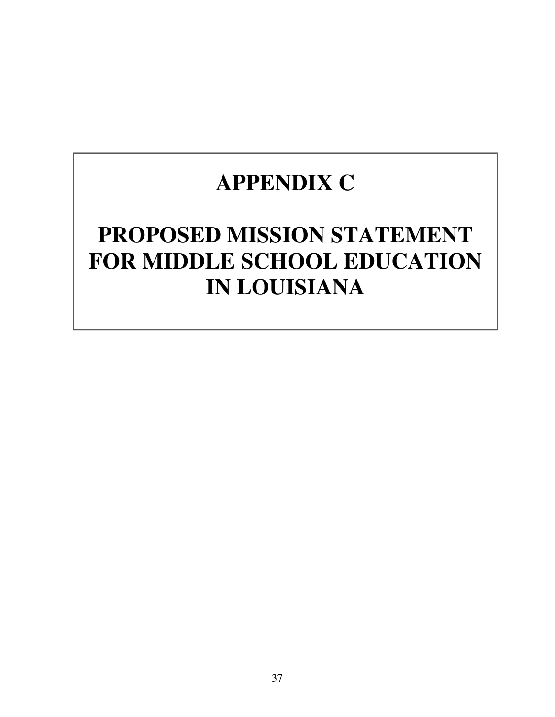# **APPENDIX C**

# **PROPOSED MISSION STATEMENT FOR MIDDLE SCHOOL EDUCATION IN LOUISIANA**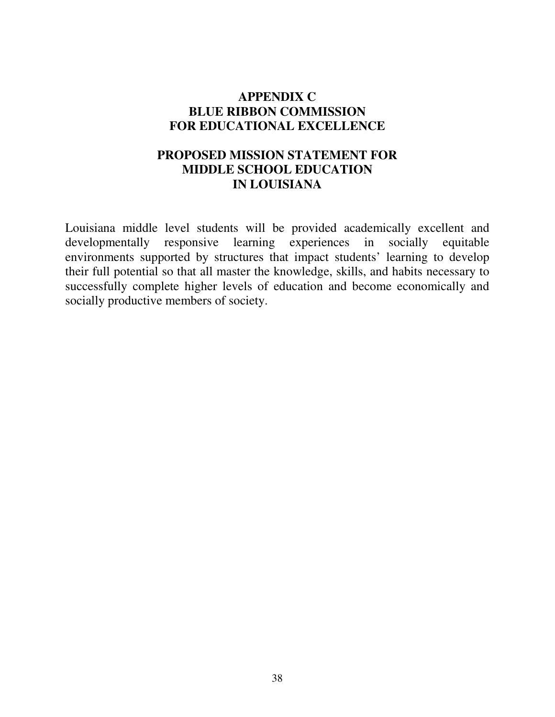## **APPENDIX C BLUE RIBBON COMMISSION FOR EDUCATIONAL EXCELLENCE**

## **PROPOSED MISSION STATEMENT FOR MIDDLE SCHOOL EDUCATION IN LOUISIANA**

Louisiana middle level students will be provided academically excellent and developmentally responsive learning experiences in socially equitable environments supported by structures that impact students' learning to develop their full potential so that all master the knowledge, skills, and habits necessary to successfully complete higher levels of education and become economically and socially productive members of society.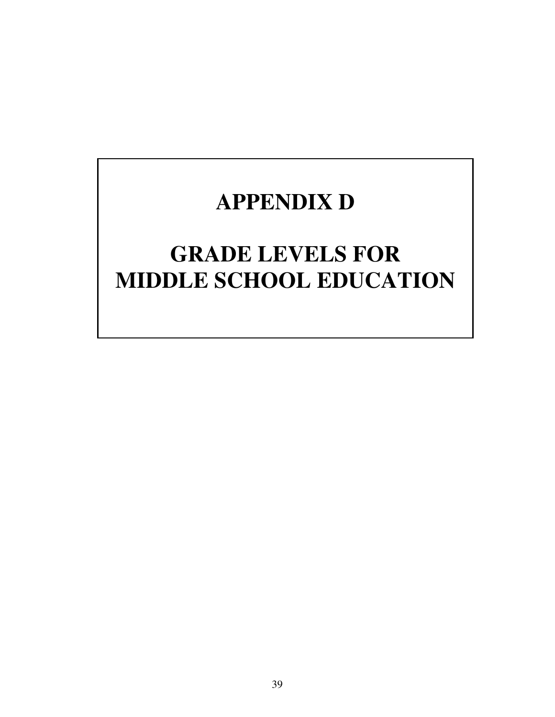# **APPENDIX D**

# **GRADE LEVELS FOR MIDDLE SCHOOL EDUCATION**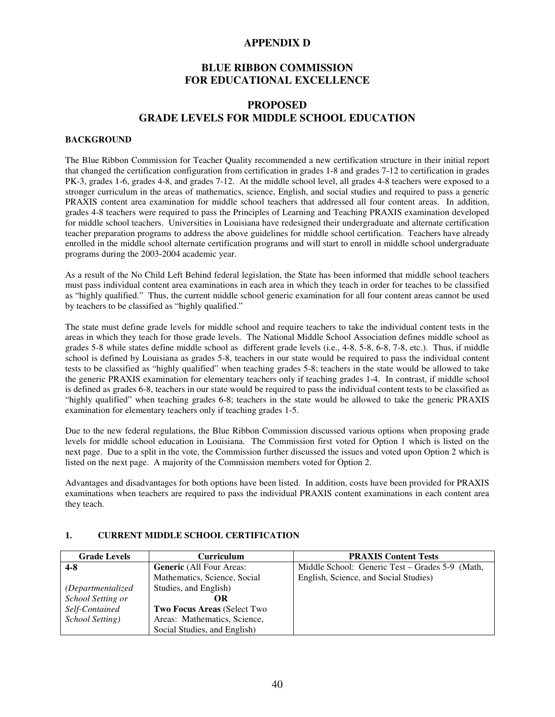#### **APPENDIX D**

#### **BLUE RIBBON COMMISSION FOR EDUCATIONAL EXCELLENCE**

#### **PROPOSED GRADE LEVELS FOR MIDDLE SCHOOL EDUCATION**

#### **BACKGROUND**

The Blue Ribbon Commission for Teacher Quality recommended a new certification structure in their initial report that changed the certification configuration from certification in grades 1-8 and grades 7-12 to certification in grades PK-3, grades 1-6, grades 4-8, and grades 7-12. At the middle school level, all grades 4-8 teachers were exposed to a stronger curriculum in the areas of mathematics, science, English, and social studies and required to pass a generic PRAXIS content area examination for middle school teachers that addressed all four content areas. In addition, grades 4-8 teachers were required to pass the Principles of Learning and Teaching PRAXIS examination developed for middle school teachers. Universities in Louisiana have redesigned their undergraduate and alternate certification teacher preparation programs to address the above guidelines for middle school certification. Teachers have already enrolled in the middle school alternate certification programs and will start to enroll in middle school undergraduate programs during the 2003-2004 academic year.

As a result of the No Child Left Behind federal legislation, the State has been informed that middle school teachers must pass individual content area examinations in each area in which they teach in order for teaches to be classified as "highly qualified." Thus, the current middle school generic examination for all four content areas cannot be used by teachers to be classified as "highly qualified."

The state must define grade levels for middle school and require teachers to take the individual content tests in the areas in which they teach for those grade levels. The National Middle School Association defines middle school as grades 5-8 while states define middle school as different grade levels (i.e., 4-8, 5-8, 6-8, 7-8, etc.). Thus, if middle school is defined by Louisiana as grades 5-8, teachers in our state would be required to pass the individual content tests to be classified as "highly qualified" when teaching grades 5-8; teachers in the state would be allowed to take the generic PRAXIS examination for elementary teachers only if teaching grades 1-4. In contrast, if middle school is defined as grades 6-8, teachers in our state would be required to pass the individual content tests to be classified as "highly qualified" when teaching grades 6-8; teachers in the state would be allowed to take the generic PRAXIS examination for elementary teachers only if teaching grades 1-5.

Due to the new federal regulations, the Blue Ribbon Commission discussed various options when proposing grade levels for middle school education in Louisiana. The Commission first voted for Option 1 which is listed on the next page. Due to a split in the vote, the Commission further discussed the issues and voted upon Option 2 which is listed on the next page. A majority of the Commission members voted for Option 2.

Advantages and disadvantages for both options have been listed. In addition, costs have been provided for PRAXIS examinations when teachers are required to pass the individual PRAXIS content examinations in each content area they teach.

#### **Grade Levels Curriculum PRAXIS Content Tests 4-8**  *(Departmentalized School Setting or Self-Contained School Setting)* **Generic** (All Four Areas: Mathematics, Science, Social Studies, and English) **OR Two Focus Areas** (Select Two Areas: Mathematics, Science, Social Studies, and English) Middle School: Generic Test – Grades 5-9 (Math, English, Science, and Social Studies)

#### **1. CURRENT MIDDLE SCHOOL CERTIFICATION**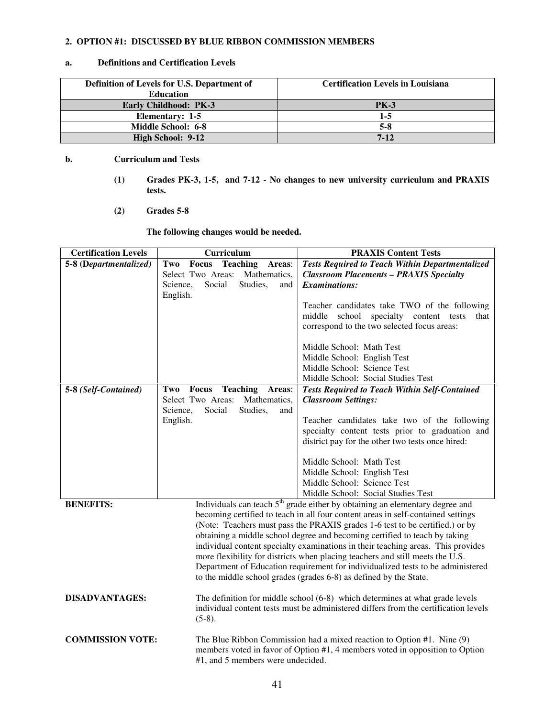#### **2. OPTION #1: DISCUSSED BY BLUE RIBBON COMMISSION MEMBERS**

#### **a. Definitions and Certification Levels**

| Definition of Levels for U.S. Department of | <b>Certification Levels in Louisiana</b> |
|---------------------------------------------|------------------------------------------|
| <b>Education</b>                            |                                          |
| <b>Early Childhood: PK-3</b>                | <b>PK-3</b>                              |
| Elementary: 1-5                             | 1-5                                      |
| Middle School: 6-8                          | $5-8$                                    |
| High School: 9-12                           | $7 - 12$                                 |

#### **b. Curriculum and Tests**

- **(1) Grades PK-3, 1-5, and 7-12 No changes to new university curriculum and PRAXIS tests.**
- **(2) Grades 5-8**

 **The following changes would be needed.** 

| <b>Certification Levels</b> | Curriculum                                                                 | <b>PRAXIS Content Tests</b>                                                                                                                                                  |
|-----------------------------|----------------------------------------------------------------------------|------------------------------------------------------------------------------------------------------------------------------------------------------------------------------|
| 5-8 (Departmentalized)      | <b>Focus Teaching Areas:</b><br>Two                                        | <b>Tests Required to Teach Within Departmentalized</b>                                                                                                                       |
|                             | Select Two Areas:<br>Mathematics,<br>Studies,<br>Science,<br>Social<br>and | <b>Classroom Placements - PRAXIS Specialty</b><br><b>Examinations:</b>                                                                                                       |
|                             | English.                                                                   |                                                                                                                                                                              |
|                             |                                                                            | Teacher candidates take TWO of the following                                                                                                                                 |
|                             |                                                                            | middle<br>school specialty content tests<br>that                                                                                                                             |
|                             |                                                                            | correspond to the two selected focus areas:                                                                                                                                  |
|                             |                                                                            | Middle School: Math Test                                                                                                                                                     |
|                             |                                                                            | Middle School: English Test                                                                                                                                                  |
|                             |                                                                            | Middle School: Science Test                                                                                                                                                  |
|                             |                                                                            | Middle School: Social Studies Test                                                                                                                                           |
| 5-8 (Self-Contained)        | <b>Teaching</b><br>Focus<br>Two<br>Areas:                                  | <b>Tests Required to Teach Within Self-Contained</b>                                                                                                                         |
|                             | Select Two Areas: Mathematics,                                             | <b>Classroom Settings:</b>                                                                                                                                                   |
|                             | Social<br>Science,<br>Studies,<br>and<br>English.                          | Teacher candidates take two of the following                                                                                                                                 |
|                             |                                                                            | specialty content tests prior to graduation and                                                                                                                              |
|                             |                                                                            | district pay for the other two tests once hired:                                                                                                                             |
|                             |                                                                            |                                                                                                                                                                              |
|                             |                                                                            | Middle School: Math Test                                                                                                                                                     |
|                             |                                                                            | Middle School: English Test                                                                                                                                                  |
|                             |                                                                            | Middle School: Science Test                                                                                                                                                  |
|                             |                                                                            | Middle School: Social Studies Test                                                                                                                                           |
| <b>BENEFITS:</b>            |                                                                            | Individuals can teach 5 <sup>th</sup> grade either by obtaining an elementary degree and<br>becoming certified to teach in all four content areas in self-contained settings |
|                             |                                                                            | (Note: Teachers must pass the PRAXIS grades 1-6 test to be certified.) or by                                                                                                 |
|                             |                                                                            | obtaining a middle school degree and becoming certified to teach by taking                                                                                                   |
|                             |                                                                            | individual content specialty examinations in their teaching areas. This provides                                                                                             |
|                             |                                                                            | more flexibility for districts when placing teachers and still meets the U.S.                                                                                                |
|                             |                                                                            | Department of Education requirement for individualized tests to be administered                                                                                              |
|                             |                                                                            | to the middle school grades (grades 6-8) as defined by the State.                                                                                                            |
| <b>DISADVANTAGES:</b>       |                                                                            | The definition for middle school (6-8) which determines at what grade levels                                                                                                 |
|                             |                                                                            | individual content tests must be administered differs from the certification levels                                                                                          |
|                             | $(5-8).$                                                                   |                                                                                                                                                                              |
| <b>COMMISSION VOTE:</b>     |                                                                            | The Blue Ribbon Commission had a mixed reaction to Option #1. Nine (9)                                                                                                       |
|                             |                                                                            | members voted in favor of Option #1, 4 members voted in opposition to Option                                                                                                 |
|                             | #1, and 5 members were undecided.                                          |                                                                                                                                                                              |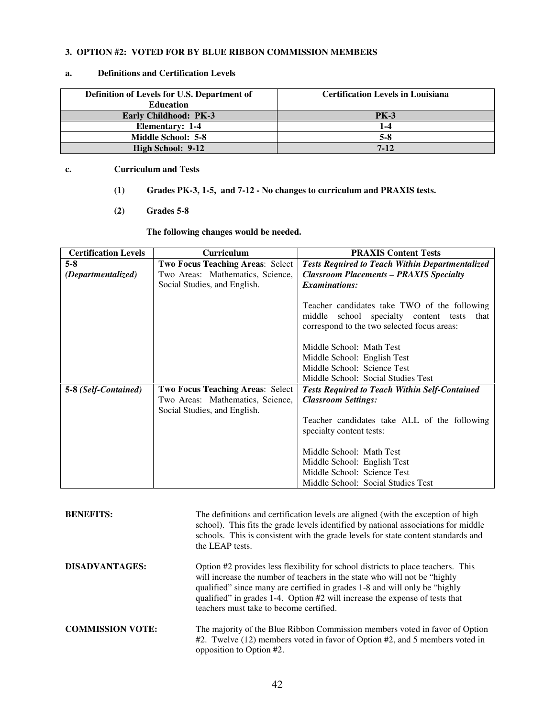#### **3. OPTION #2: VOTED FOR BY BLUE RIBBON COMMISSION MEMBERS**

#### **a. Definitions and Certification Levels**

| Definition of Levels for U.S. Department of | <b>Certification Levels in Louisiana</b> |
|---------------------------------------------|------------------------------------------|
| <b>Education</b>                            |                                          |
| <b>Early Childhood: PK-3</b>                | <b>PK-3</b>                              |
| <b>Elementary: 1-4</b>                      | 1-4                                      |
| <b>Middle School: 5-8</b>                   | $5-8$                                    |
| High School: 9-12                           | $7 - 12$                                 |

#### **c. Curriculum and Tests**

- **(1) Grades PK-3, 1-5, and 7-12 No changes to curriculum and PRAXIS tests.**
- **(2) Grades 5-8**

 **The following changes would be needed.** 

| <b>Certification Levels</b> | <b>Curriculum</b>                       | <b>PRAXIS Content Tests</b>                            |
|-----------------------------|-----------------------------------------|--------------------------------------------------------|
| $5-8$                       | <b>Two Focus Teaching Areas: Select</b> | <b>Tests Required to Teach Within Departmentalized</b> |
| (Departmentalized)          | Two Areas: Mathematics, Science,        | <b>Classroom Placements - PRAXIS Specialty</b>         |
|                             | Social Studies, and English.            | <b>Examinations:</b>                                   |
|                             |                                         |                                                        |
|                             |                                         | Teacher candidates take TWO of the following           |
|                             |                                         | middle<br>school specialty content tests<br>that       |
|                             |                                         | correspond to the two selected focus areas:            |
|                             |                                         |                                                        |
|                             |                                         | Middle School: Math Test                               |
|                             |                                         | Middle School: English Test                            |
|                             |                                         | Middle School: Science Test                            |
|                             |                                         | Middle School: Social Studies Test                     |
| 5-8 (Self-Contained)        | <b>Two Focus Teaching Areas: Select</b> | <b>Tests Required to Teach Within Self-Contained</b>   |
|                             | Two Areas: Mathematics, Science,        | <b>Classroom Settings:</b>                             |
|                             | Social Studies, and English.            |                                                        |
|                             |                                         | Teacher candidates take ALL of the following           |
|                             |                                         | specialty content tests:                               |
|                             |                                         |                                                        |
|                             |                                         | Middle School: Math Test                               |
|                             |                                         | Middle School: English Test                            |
|                             |                                         | Middle School: Science Test                            |
|                             |                                         | Middle School: Social Studies Test                     |

| <b>BENEFITS:</b>        | The definitions and certification levels are aligned (with the exception of high<br>school). This fits the grade levels identified by national associations for middle<br>schools. This is consistent with the grade levels for state content standards and<br>the LEAP tests.                                                                                         |
|-------------------------|------------------------------------------------------------------------------------------------------------------------------------------------------------------------------------------------------------------------------------------------------------------------------------------------------------------------------------------------------------------------|
| DISADVANTAGES:          | Option #2 provides less flexibility for school districts to place teachers. This<br>will increase the number of teachers in the state who will not be "highly"<br>qualified" since many are certified in grades 1-8 and will only be "highly<br>qualified" in grades 1-4. Option #2 will increase the expense of tests that<br>teachers must take to become certified. |
| <b>COMMISSION VOTE:</b> | The majority of the Blue Ribbon Commission members voted in favor of Option<br>#2. Twelve (12) members voted in favor of Option #2, and 5 members voted in<br>opposition to Option #2.                                                                                                                                                                                 |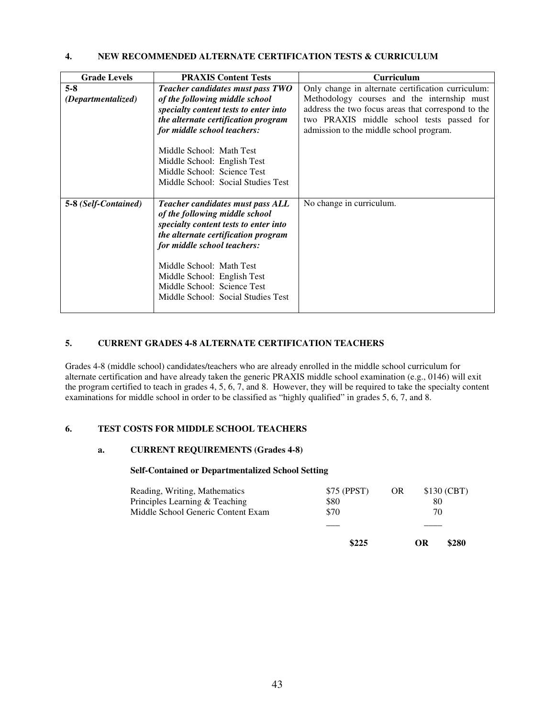#### **4. NEW RECOMMENDED ALTERNATE CERTIFICATION TESTS & CURRICULUM**

| <b>Grade Levels</b>           | <b>PRAXIS Content Tests</b>                                                                                                                                                                                                                                                                                       | <b>Curriculum</b>                                                                                                                                                                                                                               |
|-------------------------------|-------------------------------------------------------------------------------------------------------------------------------------------------------------------------------------------------------------------------------------------------------------------------------------------------------------------|-------------------------------------------------------------------------------------------------------------------------------------------------------------------------------------------------------------------------------------------------|
| $5 - 8$<br>(Departmentalized) | Teacher candidates must pass TWO<br>of the following middle school<br>specialty content tests to enter into<br>the alternate certification program<br>for middle school teachers:<br>Middle School: Math Test<br>Middle School: English Test                                                                      | Only change in alternate certification curriculum:<br>Methodology courses and the internship must<br>address the two focus areas that correspond to the<br>two PRAXIS middle school tests passed for<br>admission to the middle school program. |
|                               | Middle School: Science Test<br>Middle School: Social Studies Test                                                                                                                                                                                                                                                 |                                                                                                                                                                                                                                                 |
| 5-8 (Self-Contained)          | Teacher candidates must pass ALL<br>of the following middle school<br>specialty content tests to enter into<br>the alternate certification program<br>for middle school teachers:<br>Middle School: Math Test<br>Middle School: English Test<br>Middle School: Science Test<br>Middle School: Social Studies Test | No change in curriculum.                                                                                                                                                                                                                        |

#### **5. CURRENT GRADES 4-8 ALTERNATE CERTIFICATION TEACHERS**

Grades 4-8 (middle school) candidates/teachers who are already enrolled in the middle school curriculum for alternate certification and have already taken the generic PRAXIS middle school examination (e.g., 0146) will exit the program certified to teach in grades 4, 5, 6, 7, and 8. However, they will be required to take the specialty content examinations for middle school in order to be classified as "highly qualified" in grades 5, 6, 7, and 8.

#### **6. TEST COSTS FOR MIDDLE SCHOOL TEACHERS**

#### **a. CURRENT REQUIREMENTS (Grades 4-8)**

#### **Self-Contained or Departmentalized School Setting**

| 70          |
|-------------|
| 80          |
| \$130 (CBT) |
|             |